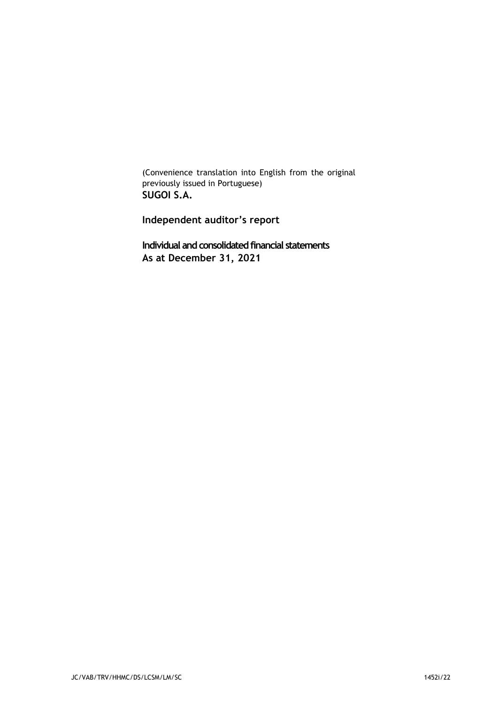(Convenience translation into English from the original previously issued in Portuguese) SUGOI S.A.

Independent auditor's report

Individual and consolidated financial statements As at December 31, 2021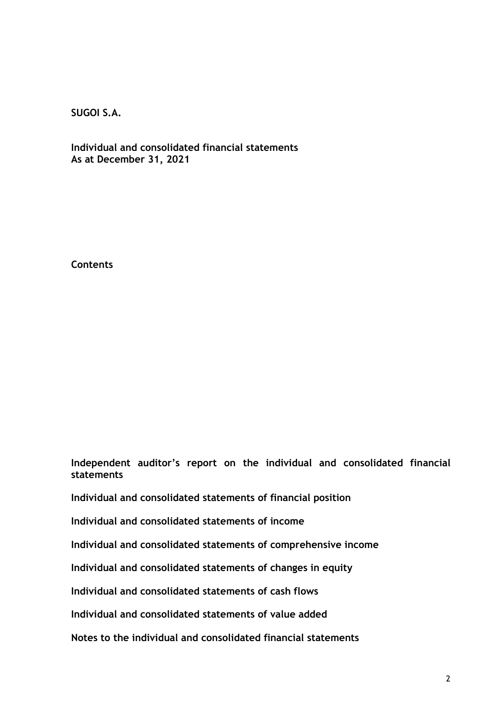Individual and consolidated financial statements As at December 31, 2021

**Contents** 

Independent auditor's report on the individual and consolidated financial statements

Individual and consolidated statements of financial position

Individual and consolidated statements of income

Individual and consolidated statements of comprehensive income

Individual and consolidated statements of changes in equity

Individual and consolidated statements of cash flows

Individual and consolidated statements of value added

Notes to the individual and consolidated financial statements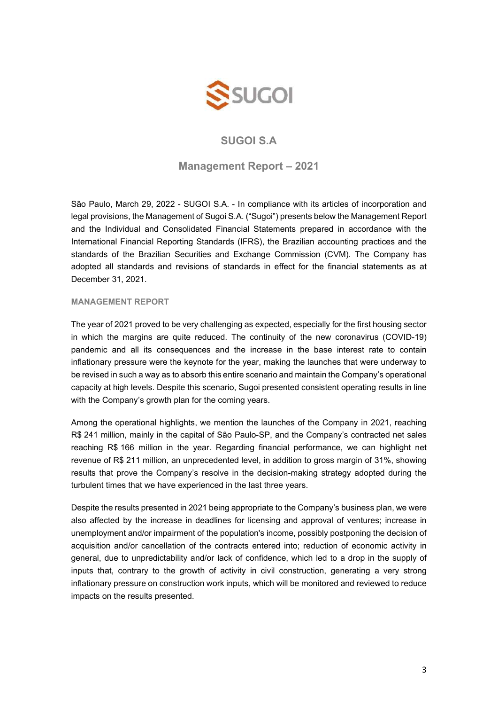

### Management Report – 2021

São Paulo, March 29, 2022 - SUGOI S.A. - In compliance with its articles of incorporation and legal provisions, the Management of Sugoi S.A. ("Sugoi") presents below the Management Report and the Individual and Consolidated Financial Statements prepared in accordance with the International Financial Reporting Standards (IFRS), the Brazilian accounting practices and the standards of the Brazilian Securities and Exchange Commission (CVM). The Company has adopted all standards and revisions of standards in effect for the financial statements as at December 31, 2021.

### MANAGEMENT REPORT

The year of 2021 proved to be very challenging as expected, especially for the first housing sector in which the margins are quite reduced. The continuity of the new coronavirus (COVID-19) pandemic and all its consequences and the increase in the base interest rate to contain inflationary pressure were the keynote for the year, making the launches that were underway to be revised in such a way as to absorb this entire scenario and maintain the Company's operational capacity at high levels. Despite this scenario, Sugoi presented consistent operating results in line with the Company's growth plan for the coming years.

Among the operational highlights, we mention the launches of the Company in 2021, reaching R\$ 241 million, mainly in the capital of São Paulo-SP, and the Company's contracted net sales reaching R\$ 166 million in the year. Regarding financial performance, we can highlight net revenue of R\$ 211 million, an unprecedented level, in addition to gross margin of 31%, showing results that prove the Company's resolve in the decision-making strategy adopted during the turbulent times that we have experienced in the last three years.

Despite the results presented in 2021 being appropriate to the Company's business plan, we were also affected by the increase in deadlines for licensing and approval of ventures; increase in unemployment and/or impairment of the population's income, possibly postponing the decision of acquisition and/or cancellation of the contracts entered into; reduction of economic activity in general, due to unpredictability and/or lack of confidence, which led to a drop in the supply of inputs that, contrary to the growth of activity in civil construction, generating a very strong inflationary pressure on construction work inputs, which will be monitored and reviewed to reduce impacts on the results presented.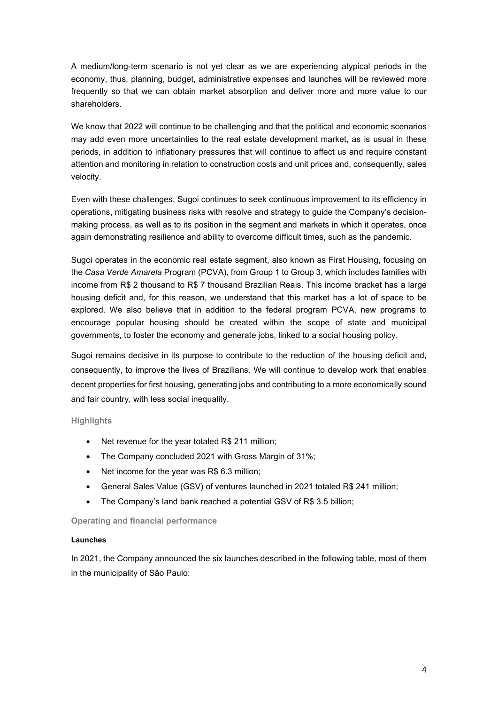A medium/long-term scenario is not yet clear as we are experiencing atypical periods in the economy, thus, planning, budget, administrative expenses and launches will be reviewed more frequently so that we can obtain market absorption and deliver more and more value to our shareholders.

We know that 2022 will continue to be challenging and that the political and economic scenarios may add even more uncertainties to the real estate development market, as is usual in these periods, in addition to inflationary pressures that will continue to affect us and require constant attention and monitoring in relation to construction costs and unit prices and, consequently, sales velocity.

Even with these challenges, Sugoi continues to seek continuous improvement to its efficiency in operations, mitigating business risks with resolve and strategy to guide the Company's decisionmaking process, as well as to its position in the segment and markets in which it operates, once again demonstrating resilience and ability to overcome difficult times, such as the pandemic.

Sugoi operates in the economic real estate segment, also known as First Housing, focusing on the Casa Verde Amarela Program (PCVA), from Group 1 to Group 3, which includes families with income from R\$ 2 thousand to R\$ 7 thousand Brazilian Reais. This income bracket has a large housing deficit and, for this reason, we understand that this market has a lot of space to be explored. We also believe that in addition to the federal program PCVA, new programs to encourage popular housing should be created within the scope of state and municipal governments, to foster the economy and generate jobs, linked to a social housing policy.

Sugoi remains decisive in its purpose to contribute to the reduction of the housing deficit and, consequently, to improve the lives of Brazilians. We will continue to develop work that enables decent properties for first housing, generating jobs and contributing to a more economically sound and fair country, with less social inequality.

### **Highlights**

- Net revenue for the year totaled R\$ 211 million;
- The Company concluded 2021 with Gross Margin of 31%;
- Net income for the year was R\$ 6.3 million;
- General Sales Value (GSV) of ventures launched in 2021 totaled R\$ 241 million;
- The Company's land bank reached a potential GSV of R\$ 3.5 billion;

### Operating and financial performance

### Launches

In 2021, the Company announced the six launches described in the following table, most of them in the municipality of São Paulo: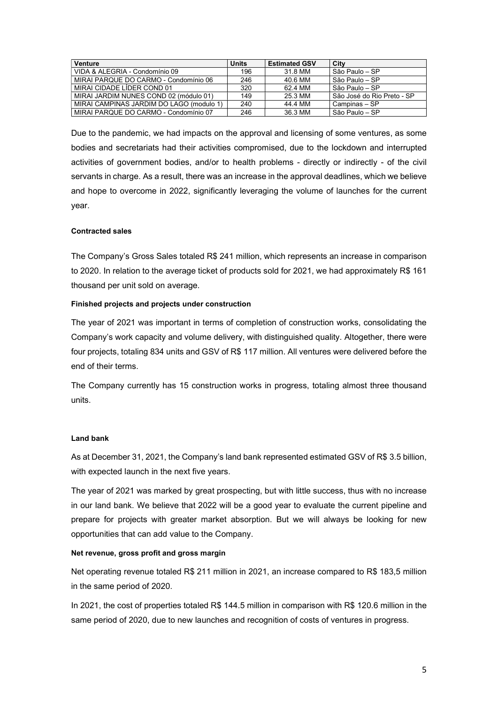| <b>Venture</b>                           | <b>Units</b> | <b>Estimated GSV</b> | City                       |
|------------------------------------------|--------------|----------------------|----------------------------|
| VIDA & ALEGRIA - Condomínio 09           | 196          | 31 8 MM              | ∣ São Paulo – SP           |
| MIRAI PARQUE DO CARMO - Condomínio 06    | 246          | 40.6 MM              | l São Paulo – SP           |
| MIRAI CIDADE LÍDER COND 01               | 320          | 62.4 MM              | São Paulo – SP             |
| MIRAI JARDIM NUNES COND 02 (módulo 01)   | 149          | 25.3 MM              | São José do Rio Preto - SP |
| MIRAI CAMPINAS JARDIM DO LAGO (modulo 1) | 240          | 44 4 MM              | Campinas – SP              |
| MIRAI PARQUE DO CARMO - Condomínio 07    | 246          | 36.3 MM              | São Paulo – SP             |

Due to the pandemic, we had impacts on the approval and licensing of some ventures, as some bodies and secretariats had their activities compromised, due to the lockdown and interrupted activities of government bodies, and/or to health problems - directly or indirectly - of the civil servants in charge. As a result, there was an increase in the approval deadlines, which we believe and hope to overcome in 2022, significantly leveraging the volume of launches for the current year.

### Contracted sales

The Company's Gross Sales totaled R\$ 241 million, which represents an increase in comparison to 2020. In relation to the average ticket of products sold for 2021, we had approximately R\$ 161 thousand per unit sold on average.

### Finished projects and projects under construction

The year of 2021 was important in terms of completion of construction works, consolidating the Company's work capacity and volume delivery, with distinguished quality. Altogether, there were four projects, totaling 834 units and GSV of R\$ 117 million. All ventures were delivered before the end of their terms.

The Company currently has 15 construction works in progress, totaling almost three thousand units.

### Land bank

As at December 31, 2021, the Company's land bank represented estimated GSV of R\$ 3.5 billion, with expected launch in the next five years.

The year of 2021 was marked by great prospecting, but with little success, thus with no increase in our land bank. We believe that 2022 will be a good year to evaluate the current pipeline and prepare for projects with greater market absorption. But we will always be looking for new opportunities that can add value to the Company.

### Net revenue, gross profit and gross margin

Net operating revenue totaled R\$ 211 million in 2021, an increase compared to R\$ 183,5 million in the same period of 2020.

In 2021, the cost of properties totaled R\$ 144.5 million in comparison with R\$ 120.6 million in the same period of 2020, due to new launches and recognition of costs of ventures in progress.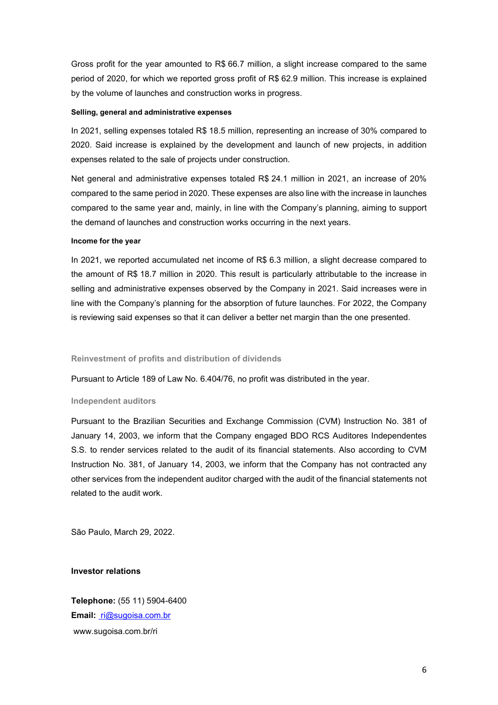Gross profit for the year amounted to R\$ 66.7 million, a slight increase compared to the same period of 2020, for which we reported gross profit of R\$ 62.9 million. This increase is explained by the volume of launches and construction works in progress.

### Selling, general and administrative expenses

In 2021, selling expenses totaled R\$ 18.5 million, representing an increase of 30% compared to 2020. Said increase is explained by the development and launch of new projects, in addition expenses related to the sale of projects under construction.

Net general and administrative expenses totaled R\$ 24.1 million in 2021, an increase of 20% compared to the same period in 2020. These expenses are also line with the increase in launches compared to the same year and, mainly, in line with the Company's planning, aiming to support the demand of launches and construction works occurring in the next years.

#### Income for the year

In 2021, we reported accumulated net income of R\$ 6.3 million, a slight decrease compared to the amount of R\$ 18.7 million in 2020. This result is particularly attributable to the increase in selling and administrative expenses observed by the Company in 2021. Said increases were in line with the Company's planning for the absorption of future launches. For 2022, the Company is reviewing said expenses so that it can deliver a better net margin than the one presented.

### Reinvestment of profits and distribution of dividends

Pursuant to Article 189 of Law No. 6.404/76, no profit was distributed in the year.

#### Independent auditors

Pursuant to the Brazilian Securities and Exchange Commission (CVM) Instruction No. 381 of January 14, 2003, we inform that the Company engaged BDO RCS Auditores Independentes S.S. to render services related to the audit of its financial statements. Also according to CVM Instruction No. 381, of January 14, 2003, we inform that the Company has not contracted any other services from the independent auditor charged with the audit of the financial statements not related to the audit work.

São Paulo, March 29, 2022.

### Investor relations

Telephone: (55 11) 5904-6400 Email: ri@sugoisa.com.br www.sugoisa.com.br/ri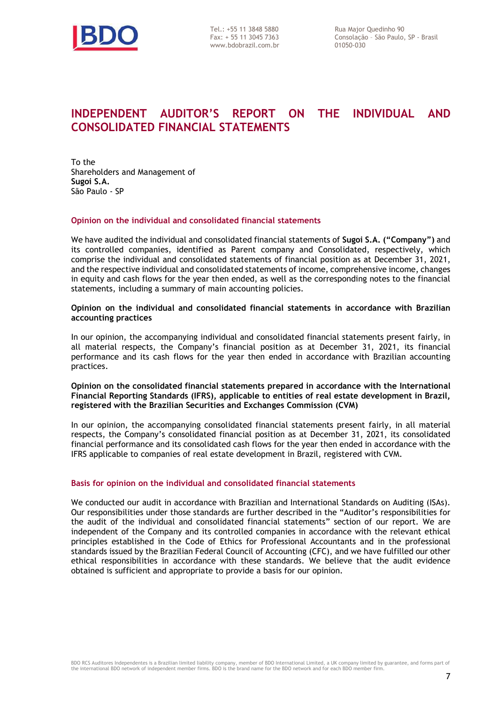

www.bdobrazil.com.br

# INDEPENDENT AUDITOR'S REPORT ON THE INDIVIDUAL AND CONSOLIDATED FINANCIAL STATEMENTS

To the Shareholders and Management of Sugoi S.A. São Paulo - SP

### Opinion on the individual and consolidated financial statements

We have audited the individual and consolidated financial statements of Sugoi S.A. ("Company") and its controlled companies, identified as Parent company and Consolidated, respectively, which comprise the individual and consolidated statements of financial position as at December 31, 2021, and the respective individual and consolidated statements of income, comprehensive income, changes in equity and cash flows for the year then ended, as well as the corresponding notes to the financial statements, including a summary of main accounting policies.

### Opinion on the individual and consolidated financial statements in accordance with Brazilian accounting practices

In our opinion, the accompanying individual and consolidated financial statements present fairly, in all material respects, the Company's financial position as at December 31, 2021, its financial performance and its cash flows for the year then ended in accordance with Brazilian accounting practices.

### Opinion on the consolidated financial statements prepared in accordance with the International Financial Reporting Standards (IFRS), applicable to entities of real estate development in Brazil, registered with the Brazilian Securities and Exchanges Commission (CVM)

In our opinion, the accompanying consolidated financial statements present fairly, in all material respects, the Company's consolidated financial position as at December 31, 2021, its consolidated financial performance and its consolidated cash flows for the year then ended in accordance with the IFRS applicable to companies of real estate development in Brazil, registered with CVM.

### Basis for opinion on the individual and consolidated financial statements

We conducted our audit in accordance with Brazilian and International Standards on Auditing (ISAs). Our responsibilities under those standards are further described in the "Auditor's responsibilities for the audit of the individual and consolidated financial statements" section of our report. We are independent of the Company and its controlled companies in accordance with the relevant ethical principles established in the Code of Ethics for Professional Accountants and in the professional standards issued by the Brazilian Federal Council of Accounting (CFC), and we have fulfilled our other ethical responsibilities in accordance with these standards. We believe that the audit evidence obtained is sufficient and appropriate to provide a basis for our opinion.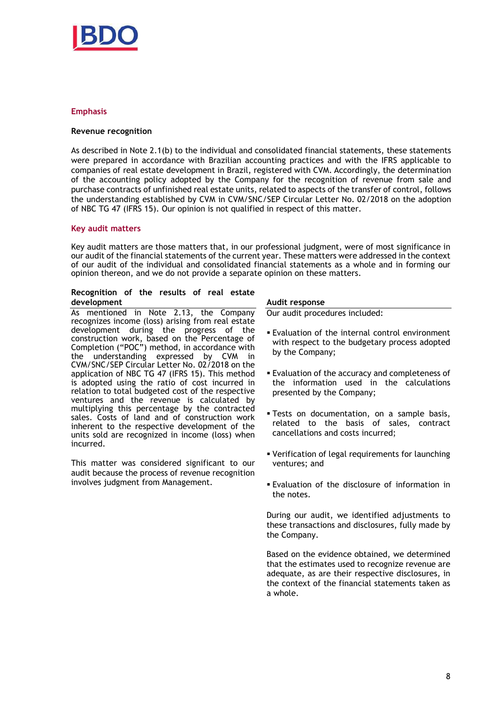

### Emphasis

### Revenue recognition

As described in Note 2.1(b) to the individual and consolidated financial statements, these statements were prepared in accordance with Brazilian accounting practices and with the IFRS applicable to companies of real estate development in Brazil, registered with CVM. Accordingly, the determination of the accounting policy adopted by the Company for the recognition of revenue from sale and purchase contracts of unfinished real estate units, related to aspects of the transfer of control, follows the understanding established by CVM in CVM/SNC/SEP Circular Letter No. 02/2018 on the adoption of NBC TG 47 (IFRS 15). Our opinion is not qualified in respect of this matter.

### Key audit matters

Key audit matters are those matters that, in our professional judgment, were of most significance in our audit of the financial statements of the current year. These matters were addressed in the context of our audit of the individual and consolidated financial statements as a whole and in forming our opinion thereon, and we do not provide a separate opinion on these matters.

### Recognition of the results of real estate development

As mentioned in Note 2.13, the Company recognizes income (loss) arising from real estate development during the progress of the construction work, based on the Percentage of Completion ("POC") method, in accordance with the understanding expressed by CVM in CVM/SNC/SEP Circular Letter No. 02/2018 on the application of NBC TG 47 (IFRS 15). This method is adopted using the ratio of cost incurred in relation to total budgeted cost of the respective ventures and the revenue is calculated by multiplying this percentage by the contracted sales. Costs of land and of construction work inherent to the respective development of the units sold are recognized in income (loss) when incurred.

This matter was considered significant to our audit because the process of revenue recognition involves judgment from Management.

#### Audit response

Our audit procedures included:

- Evaluation of the internal control environment with respect to the budgetary process adopted by the Company;
- Evaluation of the accuracy and completeness of the information used in the calculations presented by the Company;
- Tests on documentation, on a sample basis, related to the basis of sales, contract cancellations and costs incurred;
- Verification of legal requirements for launching ventures; and
- Evaluation of the disclosure of information in the notes.

During our audit, we identified adjustments to these transactions and disclosures, fully made by the Company.

Based on the evidence obtained, we determined that the estimates used to recognize revenue are adequate, as are their respective disclosures, in the context of the financial statements taken as a whole.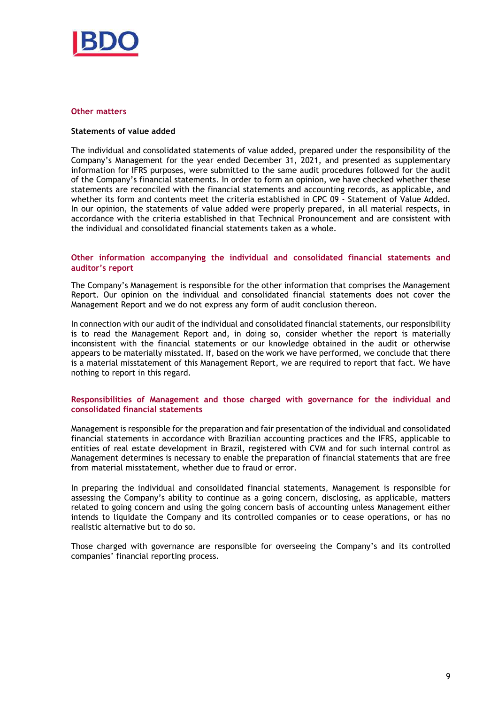

#### Other matters

### Statements of value added

The individual and consolidated statements of value added, prepared under the responsibility of the Company's Management for the year ended December 31, 2021, and presented as supplementary information for IFRS purposes, were submitted to the same audit procedures followed for the audit of the Company's financial statements. In order to form an opinion, we have checked whether these statements are reconciled with the financial statements and accounting records, as applicable, and whether its form and contents meet the criteria established in CPC 09 - Statement of Value Added. In our opinion, the statements of value added were properly prepared, in all material respects, in accordance with the criteria established in that Technical Pronouncement and are consistent with the individual and consolidated financial statements taken as a whole.

### Other information accompanying the individual and consolidated financial statements and auditor's report

The Company's Management is responsible for the other information that comprises the Management Report. Our opinion on the individual and consolidated financial statements does not cover the Management Report and we do not express any form of audit conclusion thereon.

In connection with our audit of the individual and consolidated financial statements, our responsibility is to read the Management Report and, in doing so, consider whether the report is materially inconsistent with the financial statements or our knowledge obtained in the audit or otherwise appears to be materially misstated. If, based on the work we have performed, we conclude that there is a material misstatement of this Management Report, we are required to report that fact. We have nothing to report in this regard.

### Responsibilities of Management and those charged with governance for the individual and consolidated financial statements

Management is responsible for the preparation and fair presentation of the individual and consolidated financial statements in accordance with Brazilian accounting practices and the IFRS, applicable to entities of real estate development in Brazil, registered with CVM and for such internal control as Management determines is necessary to enable the preparation of financial statements that are free from material misstatement, whether due to fraud or error.

In preparing the individual and consolidated financial statements, Management is responsible for assessing the Company's ability to continue as a going concern, disclosing, as applicable, matters related to going concern and using the going concern basis of accounting unless Management either intends to liquidate the Company and its controlled companies or to cease operations, or has no realistic alternative but to do so.

Those charged with governance are responsible for overseeing the Company's and its controlled companies' financial reporting process.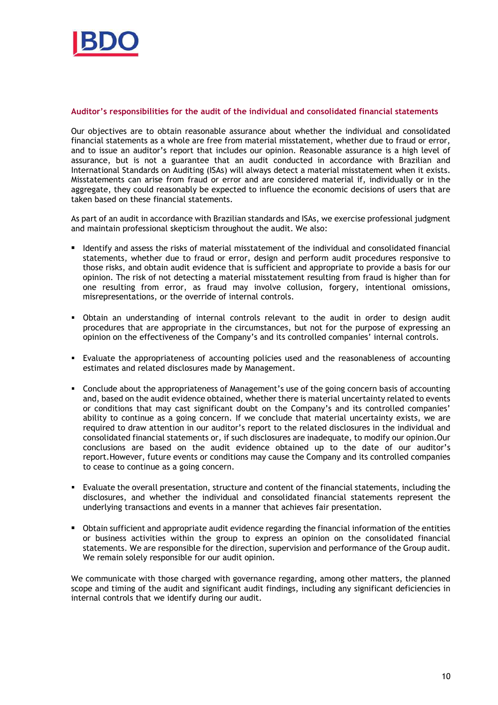

### Auditor's responsibilities for the audit of the individual and consolidated financial statements

Our objectives are to obtain reasonable assurance about whether the individual and consolidated financial statements as a whole are free from material misstatement, whether due to fraud or error, and to issue an auditor's report that includes our opinion. Reasonable assurance is a high level of assurance, but is not a guarantee that an audit conducted in accordance with Brazilian and International Standards on Auditing (ISAs) will always detect a material misstatement when it exists. Misstatements can arise from fraud or error and are considered material if, individually or in the aggregate, they could reasonably be expected to influence the economic decisions of users that are taken based on these financial statements.

As part of an audit in accordance with Brazilian standards and ISAs, we exercise professional judgment and maintain professional skepticism throughout the audit. We also:

- **IDED 16** Identify and assess the risks of material misstatement of the individual and consolidated financial statements, whether due to fraud or error, design and perform audit procedures responsive to those risks, and obtain audit evidence that is sufficient and appropriate to provide a basis for our opinion. The risk of not detecting a material misstatement resulting from fraud is higher than for one resulting from error, as fraud may involve collusion, forgery, intentional omissions, misrepresentations, or the override of internal controls.
- Obtain an understanding of internal controls relevant to the audit in order to design audit procedures that are appropriate in the circumstances, but not for the purpose of expressing an opinion on the effectiveness of the Company's and its controlled companies' internal controls.
- Evaluate the appropriateness of accounting policies used and the reasonableness of accounting estimates and related disclosures made by Management.
- Conclude about the appropriateness of Management's use of the going concern basis of accounting and, based on the audit evidence obtained, whether there is material uncertainty related to events or conditions that may cast significant doubt on the Company's and its controlled companies' ability to continue as a going concern. If we conclude that material uncertainty exists, we are required to draw attention in our auditor's report to the related disclosures in the individual and consolidated financial statements or, if such disclosures are inadequate, to modify our opinion.Our conclusions are based on the audit evidence obtained up to the date of our auditor's report.However, future events or conditions may cause the Company and its controlled companies to cease to continue as a going concern.
- Evaluate the overall presentation, structure and content of the financial statements, including the disclosures, and whether the individual and consolidated financial statements represent the underlying transactions and events in a manner that achieves fair presentation.
- Obtain sufficient and appropriate audit evidence regarding the financial information of the entities or business activities within the group to express an opinion on the consolidated financial statements. We are responsible for the direction, supervision and performance of the Group audit. We remain solely responsible for our audit opinion.

We communicate with those charged with governance regarding, among other matters, the planned scope and timing of the audit and significant audit findings, including any significant deficiencies in internal controls that we identify during our audit.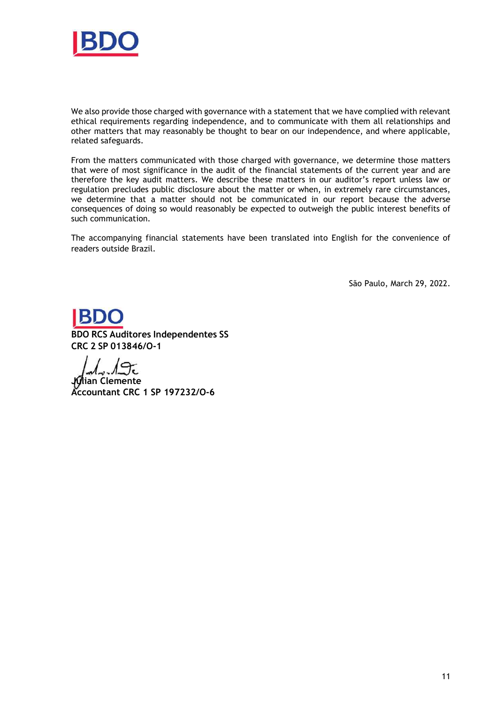

We also provide those charged with governance with a statement that we have complied with relevant ethical requirements regarding independence, and to communicate with them all relationships and other matters that may reasonably be thought to bear on our independence, and where applicable, related safeguards.

From the matters communicated with those charged with governance, we determine those matters that were of most significance in the audit of the financial statements of the current year and are therefore the key audit matters. We describe these matters in our auditor's report unless law or regulation precludes public disclosure about the matter or when, in extremely rare circumstances, we determine that a matter should not be communicated in our report because the adverse consequences of doing so would reasonably be expected to outweigh the public interest benefits of such communication.

The accompanying financial statements have been translated into English for the convenience of readers outside Brazil.

São Paulo, March 29, 2022.

BDO RCS Auditores Independentes SS CRC 2 SP 013846/O-1

 $\sqrt{2\epsilon}$ 

ian Clemente Accountant CRC 1 SP 197232/O-6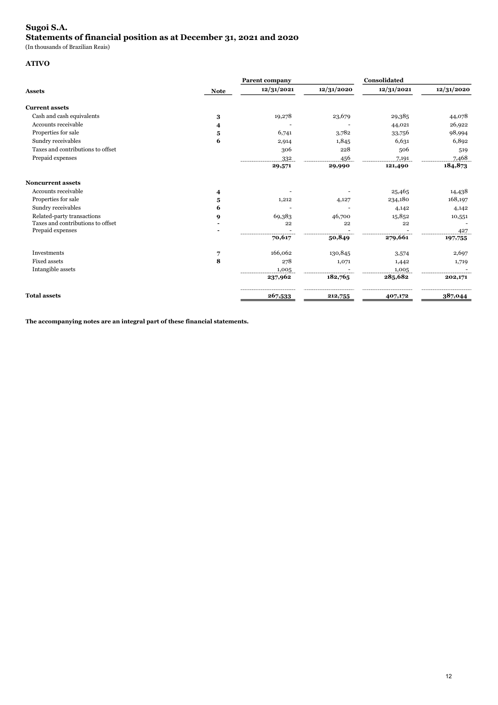### Sugoi S.A. Statements of financial position as at December 31, 2021 and 2020

(In thousands of Brazilian Reais)

### ATIVO

|                                   | <b>Parent company</b> |            |            | Consolidated |            |
|-----------------------------------|-----------------------|------------|------------|--------------|------------|
| <b>Assets</b>                     | <b>Note</b>           | 12/31/2021 | 12/31/2020 | 12/31/2021   | 12/31/2020 |
| <b>Current assets</b>             |                       |            |            |              |            |
| Cash and cash equivalents         | $\bf{3}$              | 19,278     | 23,679     | 29,385       | 44,078     |
| Accounts receivable               | 4                     |            |            | 44,021       | 26,922     |
| Properties for sale               | 5                     | 6,741      | 3,782      | 33,756       | 98,994     |
| Sundry receivables                | 6                     | 2,914      | 1,845      | 6,631        | 6,892      |
| Taxes and contributions to offset |                       | 306        | 228        | 506          | 519        |
| Prepaid expenses                  |                       | 332        | 456        | 7,191        | 7,468      |
|                                   |                       | 29,571     | 29,990     | 121,490      | 184,873    |
| <b>Noncurrent assets</b>          |                       |            |            |              |            |
| Accounts receivable               | 4                     |            |            | 25,465       | 14,438     |
| Properties for sale               | 5                     | 1,212      | 4,127      | 234,180      | 168,197    |
| Sundry receivables                | 6                     |            |            | 4,142        | 4,142      |
| Related-party transactions        | 9                     | 69,383     | 46,700     | 15,852       | 10,551     |
| Taxes and contributions to offset |                       | 22         | 22         | 22           |            |
| Prepaid expenses                  |                       |            |            |              | 427        |
|                                   |                       | 70,617     | 50,849     | 279,661      | 197,755    |
| Investments                       | 7                     | 166,062    | 130,845    | 3,574        | 2,697      |
| <b>Fixed assets</b>               | 8                     | 278        | 1,071      | 1,442        | 1,719      |
| Intangible assets                 |                       | 1,005      |            | 1,005        |            |
|                                   |                       | 237,962    | 182,765    | 285,682      | 202,171    |
| <b>Total assets</b>               |                       | 267,533    | 212,755    | 407,172      | 387,044    |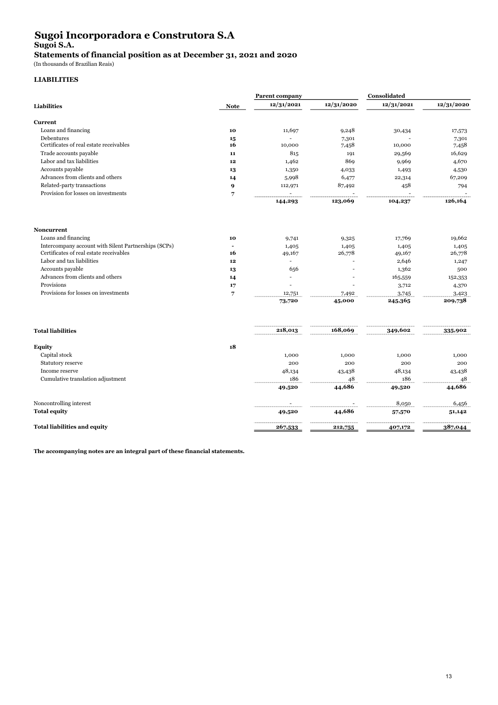## Sugoi Incorporadora e Construtora S.A Sugoi S.A.

Statements of financial position as at December 31, 2021 and 2020

(In thousands of Brazilian Reais)

### LIABILITIES

|                                                      |                | <b>Parent company</b> |            | Consolidated |            |
|------------------------------------------------------|----------------|-----------------------|------------|--------------|------------|
| <b>Liabilities</b>                                   | <b>Note</b>    | 12/31/2021            | 12/31/2020 | 12/31/2021   | 12/31/2020 |
| <b>Current</b>                                       |                |                       |            |              |            |
| Loans and financing                                  | 10             | 11,697                | 9,248      | 30,434       | 17,573     |
| Debentures                                           | 15             |                       | 7,301      |              | 7,301      |
| Certificates of real estate receivables              | 16             | 10,000                | 7,458      | 10,000       | 7,458      |
| Trade accounts payable                               | 11             | 815                   | 191        | 29,569       | 16,629     |
| Labor and tax liabilities                            | 12             | 1,462                 | 869        | 9,969        | 4,670      |
| Accounts payable                                     | 13             | 1,350                 | 4,033      | 1,493        | 4,530      |
| Advances from clients and others                     | 14             | 5,998                 | 6,477      | 22,314       | 67,209     |
| Related-party transactions                           | 9              | 112,971               | 87,492     | 458          | 794        |
| Provision for losses on investments                  | 7              |                       |            |              |            |
|                                                      |                | 144,293               | 123,069    | 104,237      | 126,164    |
| <b>Noncurrent</b>                                    |                |                       |            |              |            |
| Loans and financing                                  | 10             | 9,741                 | 9,325      | 17,769       | 19,662     |
| Intercompany account with Silent Partnerships (SCPs) | $\overline{a}$ | 1,405                 | 1,405      | 1,405        | 1,405      |
| Certificates of real estate receivables              | 16             | 49,167                | 26,778     | 49,167       | 26,778     |
| Labor and tax liabilities                            | 12             |                       |            | 2,646        | 1,247      |
| Accounts payable                                     | 13             | 656                   |            | 1,362        | 500        |
| Advances from clients and others                     | 14             |                       |            | 165,559      | 152,353    |
| Provisions                                           | 17             |                       |            | 3,712        | 4,370      |
| Provisions for losses on investments                 | 7              | 12,751                | 7,492      | 3,745        | 3,423      |
|                                                      |                | 73,720                | 45,000     | 245,365      | 209,738    |
| <b>Total liabilities</b>                             |                | 218,013               | 168,069    | 349,602      | 335,902    |
|                                                      |                |                       |            |              |            |
| Equity                                               | 18             |                       |            |              |            |
| Capital stock                                        |                | 1,000                 | 1,000      | 1,000        | 1,000      |
| Statutory reserve                                    |                | 200                   | 200        | 200          | 200        |
| Income reserve                                       |                | 48,134                | 43,438     | 48,134       | 43,438     |
| Cumulative translation adjustment                    |                | 186                   | 48         | 186          | 48         |
|                                                      |                | 49,520                | 44,686     | 49,520       | 44,686     |
| Noncontrolling interest                              |                |                       |            | 8,050        | 6,456      |
| <b>Total equity</b>                                  |                | 49,520                | 44,686     | 57,570       | 51,142     |
| <b>Total liabilities and equity</b>                  |                | 267,533               | 212,755    | 407,172      | 387,044    |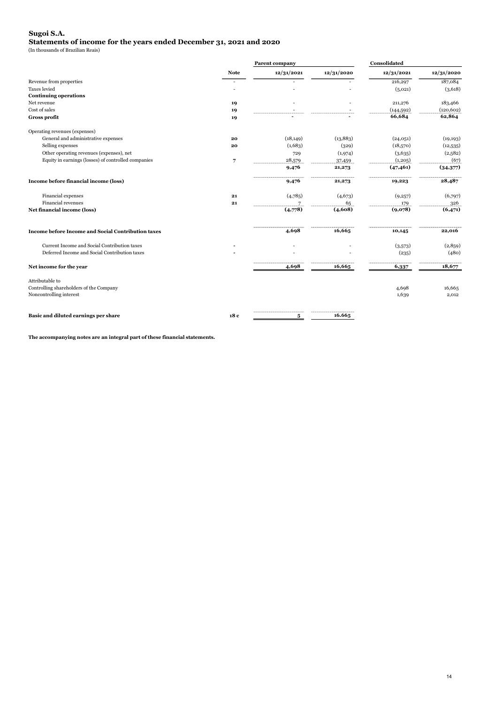#### Sugoi S.A. Statements of income for the years ended December 31, 2021 and 2020

(In thousands of Brazilian Reais)

|                                                           |             | Parent company |            |            | Consolidated |  |  |
|-----------------------------------------------------------|-------------|----------------|------------|------------|--------------|--|--|
|                                                           | <b>Note</b> | 12/31/2021     | 12/31/2020 | 12/31/2021 | 12/31/2020   |  |  |
| Revenue from properties                                   |             |                |            | 216,297    | 187,084      |  |  |
| <b>Taxes</b> levied                                       |             |                |            | (5,021)    | (3,618)      |  |  |
| <b>Continuing operations</b>                              |             |                |            |            |              |  |  |
| Net revenue                                               | 19          |                |            | 211,276    | 183,466      |  |  |
| Cost of sales                                             | 19          |                |            | (144, 592) | (120, 602)   |  |  |
| <b>Gross profit</b>                                       | 19          |                |            | 66,684     | 62,864       |  |  |
| Operating revenues (expenses)                             |             |                |            |            |              |  |  |
| General and administrative expenses                       | 20          | (18, 149)      | (13, 883)  | (24,051)   | (19, 193)    |  |  |
| Selling expenses                                          | 20          | (1,683)        | (329)      | (18,570)   | (12,535)     |  |  |
| Other operating revenues (expenses), net                  |             | 729            | (1,974)    | (3,635)    | (2,582)      |  |  |
| Equity in earnings (losses) of controlled companies       | 7           | 28,579         | 37,459     | (1, 205)   | (67)         |  |  |
|                                                           |             | 9,476          | 21,273     | (47, 461)  | (34,377)     |  |  |
| Income before financial income (loss)                     |             | 9,476          | 21,273     | 19,223     | 28,487       |  |  |
| Financial expenses                                        | 21          | (4,785)        | (4,673)    | (9,257)    | (6,797)      |  |  |
| Financial revenues                                        | 21          |                | 65         | 179        | 326          |  |  |
| Net financial income (loss)                               |             | (4,778)        | (4,608)    | (9,078)    | (6,471)      |  |  |
| <b>Income before Income and Social Contribution taxes</b> |             | 4,698          | 16,665     | 10,145     | 22,016       |  |  |
| Current Income and Social Contribution taxes              |             |                |            | (3,573)    | (2,859)      |  |  |
| Deferred Income and Social Contribution taxes             |             |                |            | (235)      | (480)        |  |  |
| Net income for the year                                   |             | 4,698          | 16,665     | 6,337      | 18,677       |  |  |
| Attributable to                                           |             |                |            |            |              |  |  |
| Controlling shareholders of the Company                   |             |                |            | 4,698      | 16,665       |  |  |
| Noncontrolling interest                                   |             |                |            | 1,639      | 2,012        |  |  |
| Basic and diluted earnings per share                      | 18 c        | 5              | 16.665     |            |              |  |  |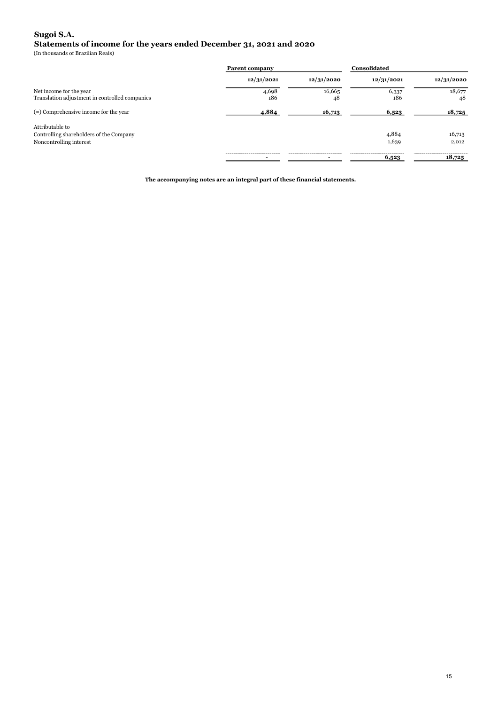### Statements of income for the years ended December 31, 2021 and 2020 Sugoi S.A.

(In thousands of Brazilian Reais)

|                                                | <b>Parent company</b> |            | Consolidated |            |
|------------------------------------------------|-----------------------|------------|--------------|------------|
|                                                | 12/31/2021            | 12/31/2020 | 12/31/2021   | 12/31/2020 |
| Net income for the year                        | 4,698                 | 16,665     | 6,337        | 18,677     |
| Translation adjustment in controlled companies | 186                   | 48         | 186          | 48         |
| $(=)$ Comprehensive income for the year        | 4,884                 | 16,713     | 6,523        | 18,725     |
| Attributable to                                |                       |            |              |            |
| Controlling shareholders of the Company        |                       |            | 4,884        | 16,713     |
| Noncontrolling interest                        |                       |            | 1,639        | 2,012      |
|                                                |                       |            | 6,523        | 18,725     |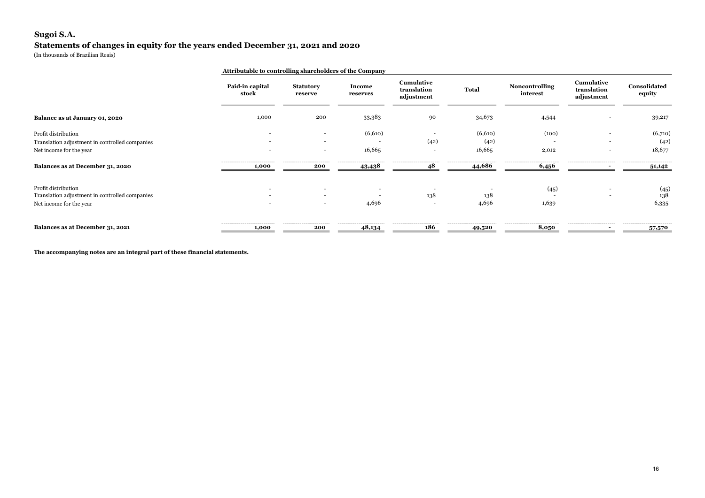### Sugoi S.A. Statements of changes in equity for the years ended December 31, 2021 and 2020

(In thousands of Brazilian Reais)

|                                                                                                  | Attributable to controlling shareholders of the Company |                                                      |                    |                                         |                           |                                                                                         |                                         |                           |
|--------------------------------------------------------------------------------------------------|---------------------------------------------------------|------------------------------------------------------|--------------------|-----------------------------------------|---------------------------|-----------------------------------------------------------------------------------------|-----------------------------------------|---------------------------|
|                                                                                                  | Paid-in capital<br>stock                                | <b>Statutory</b><br>reserve                          | Income<br>reserves | Cumulative<br>translation<br>adjustment | Total                     | <b>Noncontrolling</b><br>interest                                                       | Cumulative<br>translation<br>adjustment | Consolidated<br>equity    |
| Balance as at January 01, 2020                                                                   | 1,000                                                   | 200                                                  | 33,383             | 90                                      | 34,673                    | 4,544                                                                                   |                                         | 39,217                    |
| Profit distribution<br>Translation adjustment in controlled companies<br>Net income for the year |                                                         | $\overline{\phantom{a}}$<br>$\overline{\phantom{a}}$ | (6,610)<br>16,665  | (42)<br>$\overline{\phantom{0}}$        | (6,610)<br>(42)<br>16,665 | (100)<br>2,012                                                                          |                                         | (6,710)<br>(42)<br>18,677 |
| Balances as at December 31, 2020                                                                 | 1,000                                                   | 200                                                  | 43,438             |                                         | <u>44,686</u>             | 6,456                                                                                   |                                         | 51,142                    |
| Profit distribution<br>Translation adjustment in controlled companies<br>Net income for the year | $\sim$                                                  | $\overline{\phantom{a}}$<br>$\overline{\phantom{a}}$ | 4,696              | 138                                     | 138<br>4,696              | (45)<br>1,639                                                                           |                                         | (45)<br>138<br>6,335      |
| Balances as at December 31, 2021                                                                 | 1,000                                                   | 200                                                  | 48,134             | 186                                     | 49,520                    | the first seat and the control of the control of the control of the control of<br>8,050 |                                         | 57,570                    |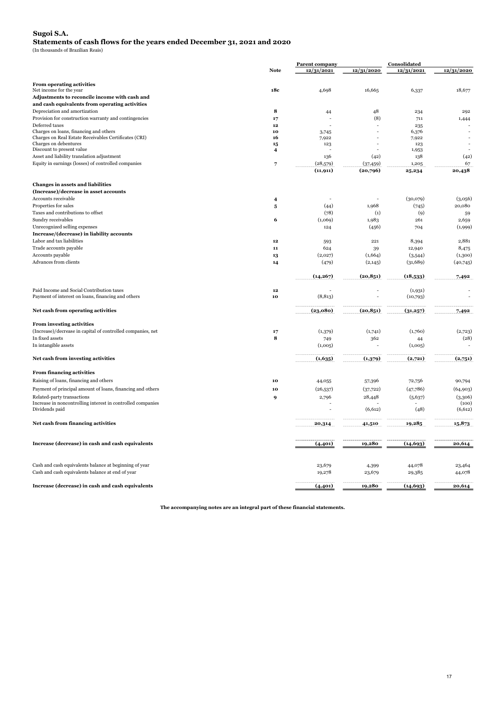#### Sugoi S.A.

Statements of cash flows for the years ended December 31, 2021 and 2020

(In thousands of Brazilian Reais)

|                                                                                                 |                                           | <b>Parent company</b> |                   | Consolidated   |             |
|-------------------------------------------------------------------------------------------------|-------------------------------------------|-----------------------|-------------------|----------------|-------------|
|                                                                                                 | <b>Note</b>                               | 12/31/2021            | 12/31/2020        | 12/31/2021     | 12/31/2020  |
| <b>From operating activities</b>                                                                |                                           |                       |                   |                |             |
| Net income for the year                                                                         | 18c                                       | 4,698                 | 16,665            | 6,337          | 18,677      |
| Adjustments to reconcile income with cash and                                                   |                                           |                       |                   |                |             |
| and cash equivalents from operating activities                                                  |                                           |                       |                   |                |             |
| Depreciation and amortization                                                                   | 8                                         | 44                    | 48                | 234            | 292         |
| Provision for construction warranty and contingencies                                           | 17                                        |                       | (8)               | 711            | 1,444       |
| Deferred taxes                                                                                  | 12                                        |                       |                   | 235            |             |
| Charges on loans, financing and others<br>Charges on Real Estate Receivables Certificates (CRI) | 10<br>16                                  | 3,745<br>7,922        |                   | 6,376<br>7,922 |             |
| Charges on debentures                                                                           | 15                                        | 123                   |                   | 123            |             |
| Discount to present value                                                                       | $\overline{4}$                            |                       |                   | 1,953          |             |
| Asset and liability translation adjustment                                                      |                                           | 136                   | (42)              | 138            | (42)        |
| Equity in earnings (losses) of controlled companies                                             | 7                                         | (28,579)              | (37, 459)         | 1,205          | 67          |
|                                                                                                 |                                           | (11, 911)             | (20,796)          | 25,234         | 20,438      |
|                                                                                                 |                                           |                       |                   |                |             |
| Changes in assets and liabilities<br>(Increase)/decrease in asset accounts                      |                                           |                       |                   |                |             |
| Accounts receivable                                                                             |                                           |                       |                   | (30,079)       | (3,056)     |
| Properties for sales                                                                            | $\overline{4}$<br>$\overline{\mathbf{5}}$ | (44)                  | 1,968             | (745)          | 20,080      |
| Taxes and contributions to offset                                                               |                                           | (78)                  | $\left( 1\right)$ | (9)            |             |
| Sundry receivables                                                                              | 6                                         | (1,069)               | 1,983             | 261            | 59<br>2,659 |
| Unrecognized selling expenses                                                                   |                                           | 124                   | (456)             | 704            | (1,999)     |
| Increase/(decrease) in liability accounts                                                       |                                           |                       |                   |                |             |
| Labor and tax liabilities                                                                       | 12                                        | 593                   | 221               | 8,394          | 2,881       |
| Trade accounts payable                                                                          | ${\bf 11}$                                | 624                   | 39                | 12,940         | 8,475       |
| Accounts payable                                                                                | 13                                        | (2,027)               | (1,664)           | (3,544)        | (1,300)     |
| Advances from clients                                                                           | 14                                        | (479)                 | (2,145)           | (31, 689)      | (40,745)    |
|                                                                                                 |                                           |                       |                   |                |             |
|                                                                                                 |                                           | (14, 267)             | (20, 851)         | (18,533)       | 7,492       |
| Paid Income and Social Contribution taxes                                                       | $\bf{12}$                                 |                       |                   | (1,931)        |             |
| Payment of interest on loans, financing and others                                              | 10                                        | (8, 813)              |                   | (10,793)       |             |
|                                                                                                 |                                           |                       |                   |                |             |
| Net cash from operating activities                                                              |                                           | (23,080)              | (20, 851)         | (31,257)       | 7,492       |
| From investing activities                                                                       |                                           |                       |                   |                |             |
| (Increase)/decrease in capital of controlled companies, net                                     | 17                                        | (1,379)               | (1,741)           | (1,760)        | (2,723)     |
| In fixed assets                                                                                 | 8                                         | 749                   | 362               | 44             | (28)        |
| In intangible assets                                                                            |                                           | (1,005)               |                   | (1,005)        |             |
| Net cash from investing activities                                                              |                                           | (1,635)               | (1,379)           | (2,721)        | (2,751)     |
|                                                                                                 |                                           |                       |                   |                |             |
| From financing activities                                                                       |                                           |                       |                   |                |             |
| Raising of loans, financing and others                                                          | 10                                        | 44,055                | 57,396            | 72,756         | 90,794      |
| Payment of principal amount of loans, financing and others                                      | 10                                        | (26, 537)             | (37, 722)         | (47,786)       | (64,903)    |
| Related-party transactions                                                                      | 9                                         | 2,796                 | 28,448            | (5,637)        | (3,306)     |
| Increase in noncontrolling interest in controlled companies                                     |                                           |                       |                   |                | (100)       |
| Dividends paid                                                                                  |                                           |                       | (6,612)           | (48)           | (6,612)     |
| Net cash from financing activities                                                              |                                           | 20,314                | 41,510            | 19,285         | 15,873      |
|                                                                                                 |                                           |                       |                   |                |             |
| Increase (decrease) in cash and cash equivalents                                                |                                           | (4,401)               | 19,280            | (14, 693)      | 20,614      |
| Cash and cash equivalents balance at beginning of year                                          |                                           | 23,679                | 4,399             | 44,078         | 23,464      |
| Cash and cash equivalents balance at end of year                                                |                                           | 19,278                | 23,679            | 29,385         | 44,078      |
| Increase (decrease) in cash and cash equivalents                                                |                                           | (4,401)               | 19,280            | (14, 693)      | 20,614      |
|                                                                                                 |                                           |                       |                   |                |             |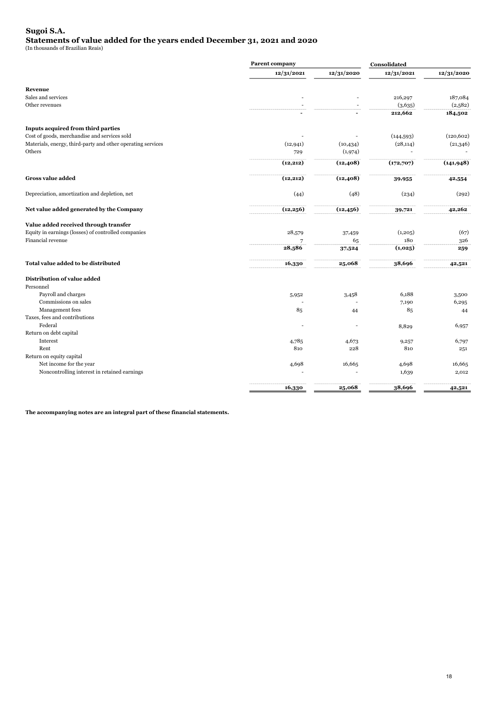### Sugoi S.A. Statements of value added for the years ended December 31, 2021 and 2020

(In thousands of Brazilian Reais)

|                                                             | Parent company |            |            |            |
|-------------------------------------------------------------|----------------|------------|------------|------------|
|                                                             | 12/31/2021     | 12/31/2020 | 12/31/2021 | 12/31/2020 |
| Revenue                                                     |                |            |            |            |
| Sales and services                                          |                |            | 216,297    | 187,084    |
| Other revenues                                              |                |            | (3,635)    | (2,582)    |
|                                                             |                |            | 212,662    | 184,502    |
| Inputs acquired from third parties                          |                |            |            |            |
| Cost of goods, merchandise and services sold                |                |            | (144, 593) | (120, 602) |
| Materials, energy, third-party and other operating services | (12, 941)      | (10, 434)  | (28, 114)  | (21,346)   |
| Others                                                      | 729            | (1,974)    |            |            |
|                                                             | (12, 212)      | (12, 408)  | (172,707)  | (141, 948) |
| <b>Gross value added</b>                                    | (12, 212)      | (12, 408)  | 39,955     | 42,554     |
| Depreciation, amortization and depletion, net               | (44)           | (48)       | (234)      | (292)      |
| Net value added generated by the Company                    | (12, 256)      | (12, 456)  | 39,721     | 42,262     |
| Value added received through transfer                       |                |            |            |            |
| Equity in earnings (losses) of controlled companies         | 28,579         | 37,459     | (1, 205)   | (67)       |
| Financial revenue                                           |                | 65         | 180        | 326        |
|                                                             | 28,586         | 37,524     | (1,025)    | 259        |
| Total value added to be distributed                         | 16,330         | 25,068     | 38,696     | 42,521     |
| Distribution of value added                                 |                |            |            |            |
| Personnel                                                   |                |            |            |            |
| Payroll and charges                                         | 5,952          | 3,458      | 6,188      | 3,500      |
| Commissions on sales                                        |                |            | 7,190      | 6,295      |
| Management fees                                             | 85             | 44         | 85         | 44         |
| Taxes, fees and contributions                               |                |            |            |            |
| Federal                                                     |                |            | 8,829      | 6,957      |
| Return on debt capital                                      |                |            |            |            |
| Interest                                                    | 4,785          | 4,673      | 9,257      | 6,797      |
| Rent                                                        | 810            | 228        | 810        | 251        |
| Return on equity capital                                    |                |            |            |            |
| Net income for the year                                     | 4,698          | 16,665     | 4,698      | 16,665     |
| Noncontrolling interest in retained earnings                |                |            | 1,639      | 2,012      |
|                                                             | 16,330         | 25,068     | 38,696     | 42,521     |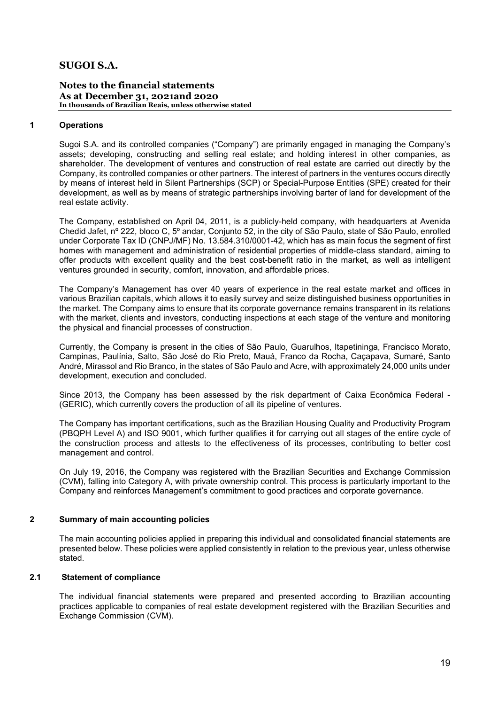### Notes to the financial statements As at December 31, 2021and 2020 In thousands of Brazilian Reais, unless otherwise stated

### 1 Operations

Sugoi S.A. and its controlled companies ("Company") are primarily engaged in managing the Company's assets; developing, constructing and selling real estate; and holding interest in other companies, as shareholder. The development of ventures and construction of real estate are carried out directly by the Company, its controlled companies or other partners. The interest of partners in the ventures occurs directly by means of interest held in Silent Partnerships (SCP) or Special-Purpose Entities (SPE) created for their development, as well as by means of strategic partnerships involving barter of land for development of the real estate activity.

The Company, established on April 04, 2011, is a publicly-held company, with headquarters at Avenida Chedid Jafet, nº 222, bloco C, 5º andar, Conjunto 52, in the city of São Paulo, state of São Paulo, enrolled under Corporate Tax ID (CNPJ/MF) No. 13.584.310/0001-42, which has as main focus the segment of first homes with management and administration of residential properties of middle-class standard, aiming to offer products with excellent quality and the best cost-benefit ratio in the market, as well as intelligent ventures grounded in security, comfort, innovation, and affordable prices.

The Company's Management has over 40 years of experience in the real estate market and offices in various Brazilian capitals, which allows it to easily survey and seize distinguished business opportunities in the market. The Company aims to ensure that its corporate governance remains transparent in its relations with the market, clients and investors, conducting inspections at each stage of the venture and monitoring the physical and financial processes of construction.

Currently, the Company is present in the cities of São Paulo, Guarulhos, Itapetininga, Francisco Morato, Campinas, Paulínia, Salto, São José do Rio Preto, Mauá, Franco da Rocha, Caçapava, Sumaré, Santo André, Mirassol and Rio Branco, in the states of São Paulo and Acre, with approximately 24,000 units under development, execution and concluded.

Since 2013, the Company has been assessed by the risk department of Caixa Econômica Federal - (GERIC), which currently covers the production of all its pipeline of ventures.

The Company has important certifications, such as the Brazilian Housing Quality and Productivity Program (PBQPH Level A) and ISO 9001, which further qualifies it for carrying out all stages of the entire cycle of the construction process and attests to the effectiveness of its processes, contributing to better cost management and control.

On July 19, 2016, the Company was registered with the Brazilian Securities and Exchange Commission (CVM), falling into Category A, with private ownership control. This process is particularly important to the Company and reinforces Management's commitment to good practices and corporate governance.

### 2 Summary of main accounting policies

The main accounting policies applied in preparing this individual and consolidated financial statements are presented below. These policies were applied consistently in relation to the previous year, unless otherwise stated.

### 2.1 Statement of compliance

The individual financial statements were prepared and presented according to Brazilian accounting practices applicable to companies of real estate development registered with the Brazilian Securities and Exchange Commission (CVM).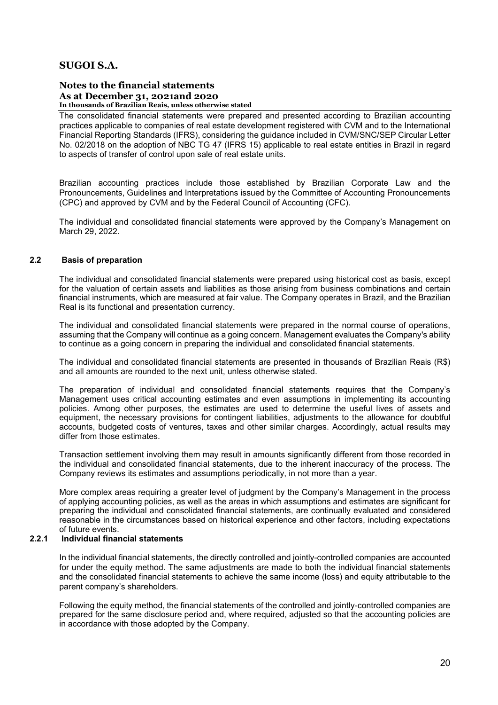#### Notes to the financial statements As at December 31, 2021and 2020 In thousands of Brazilian Reais, unless otherwise stated

The consolidated financial statements were prepared and presented according to Brazilian accounting practices applicable to companies of real estate development registered with CVM and to the International Financial Reporting Standards (IFRS), considering the guidance included in CVM/SNC/SEP Circular Letter No. 02/2018 on the adoption of NBC TG 47 (IFRS 15) applicable to real estate entities in Brazil in regard to aspects of transfer of control upon sale of real estate units.

Brazilian accounting practices include those established by Brazilian Corporate Law and the Pronouncements, Guidelines and Interpretations issued by the Committee of Accounting Pronouncements (CPC) and approved by CVM and by the Federal Council of Accounting (CFC).

The individual and consolidated financial statements were approved by the Company's Management on March 29, 2022.

### 2.2 Basis of preparation

The individual and consolidated financial statements were prepared using historical cost as basis, except for the valuation of certain assets and liabilities as those arising from business combinations and certain financial instruments, which are measured at fair value. The Company operates in Brazil, and the Brazilian Real is its functional and presentation currency.

The individual and consolidated financial statements were prepared in the normal course of operations, assuming that the Company will continue as a going concern. Management evaluates the Company's ability to continue as a going concern in preparing the individual and consolidated financial statements.

The individual and consolidated financial statements are presented in thousands of Brazilian Reais (R\$) and all amounts are rounded to the next unit, unless otherwise stated.

The preparation of individual and consolidated financial statements requires that the Company's Management uses critical accounting estimates and even assumptions in implementing its accounting policies. Among other purposes, the estimates are used to determine the useful lives of assets and equipment, the necessary provisions for contingent liabilities, adjustments to the allowance for doubtful accounts, budgeted costs of ventures, taxes and other similar charges. Accordingly, actual results may differ from those estimates.

Transaction settlement involving them may result in amounts significantly different from those recorded in the individual and consolidated financial statements, due to the inherent inaccuracy of the process. The Company reviews its estimates and assumptions periodically, in not more than a year.

More complex areas requiring a greater level of judgment by the Company's Management in the process of applying accounting policies, as well as the areas in which assumptions and estimates are significant for preparing the individual and consolidated financial statements, are continually evaluated and considered reasonable in the circumstances based on historical experience and other factors, including expectations of future events.

### 2.2.1 Individual financial statements

In the individual financial statements, the directly controlled and jointly-controlled companies are accounted for under the equity method. The same adjustments are made to both the individual financial statements and the consolidated financial statements to achieve the same income (loss) and equity attributable to the parent company's shareholders.

Following the equity method, the financial statements of the controlled and jointly-controlled companies are prepared for the same disclosure period and, where required, adjusted so that the accounting policies are in accordance with those adopted by the Company.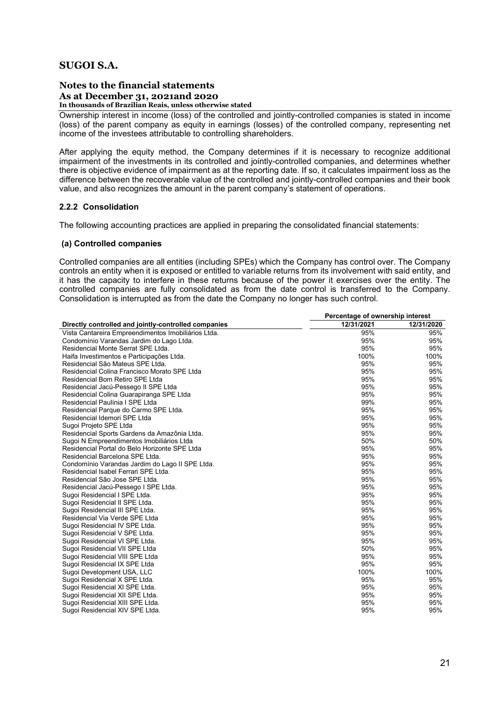### Notes to the financial statements As at December 31, 2021and 2020 In thousands of Brazilian Reais, unless otherwise stated

Ownership interest in income (loss) of the controlled and jointly-controlled companies is stated in income (loss) of the parent company as equity in earnings (losses) of the controlled company, representing net income of the investees attributable to controlling shareholders.

After applying the equity method, the Company determines if it is necessary to recognize additional impairment of the investments in its controlled and jointly-controlled companies, and determines whether there is objective evidence of impairment as at the reporting date. If so, it calculates impairment loss as the difference between the recoverable value of the controlled and jointly-controlled companies and their book value, and also recognizes the amount in the parent company's statement of operations.

### 2.2.2 Consolidation

The following accounting practices are applied in preparing the consolidated financial statements:

### (a) Controlled companies

Controlled companies are all entities (including SPEs) which the Company has control over. The Company controls an entity when it is exposed or entitled to variable returns from its involvement with said entity, and it has the capacity to interfere in these returns because of the power it exercises over the entity. The controlled companies are fully consolidated as from the date control is transferred to the Company. Consolidation is interrupted as from the date the Company no longer has such control.

|                                                      | Percentage of ownership interest |            |  |  |
|------------------------------------------------------|----------------------------------|------------|--|--|
| Directly controlled and jointly-controlled companies | 12/31/2021                       | 12/31/2020 |  |  |
| Vista Cantareira Empreendimentos Imobiliários Ltda.  | 95%                              | 95%        |  |  |
| Condomínio Varandas Jardim do Lago Ltda.             | 95%                              | 95%        |  |  |
| Residencial Monte Serrat SPE Ltda.                   | 95%                              | 95%        |  |  |
| Haifa Investimentos e Participações Ltda.            | 100%                             | 100%       |  |  |
| Residencial São Mateus SPE Ltda.                     | 95%                              | 95%        |  |  |
| Residencial Colina Francisco Morato SPE Ltda         | 95%                              | 95%        |  |  |
| Residencial Bom Retiro SPE Ltda                      | 95%                              | 95%        |  |  |
| Residencial Jacú-Pessego II SPE Ltda                 | 95%                              | 95%        |  |  |
| Residencial Colina Guarapiranga SPE Ltda             | 95%                              | 95%        |  |  |
| Residencial Paulínia I SPE Ltda                      | 99%                              | 95%        |  |  |
| Residencial Parque do Carmo SPE Ltda.                | 95%                              | 95%        |  |  |
| Residencial Idemori SPE Ltda                         | 95%                              | 95%        |  |  |
| Sugoi Projeto SPE Ltda                               | 95%                              | 95%        |  |  |
| Residencial Sports Gardens da Amazônia Ltda.         | 95%                              | 95%        |  |  |
| Sugoi N Empreendimentos Imobiliários Ltda            | 50%                              | 50%        |  |  |
| Residencial Portal do Belo Horizonte SPE Ltda        | 95%                              | 95%        |  |  |
| Residencial Barcelona SPE Ltda.                      | 95%                              | 95%        |  |  |
| Condomínio Varandas Jardim do Lago II SPE Ltda.      | 95%                              | 95%        |  |  |
| Residencial Isabel Ferrari SPE Ltda.                 | 95%                              | 95%        |  |  |
| Residencial São Jose SPE Ltda.                       | 95%                              | 95%        |  |  |
| Residencial Jacú-Pessego I SPE Ltda.                 | 95%                              | 95%        |  |  |
| Sugoi Residencial I SPE Ltda.                        | 95%                              | 95%        |  |  |
| Sugoi Residencial II SPE Ltda.                       | 95%                              | 95%        |  |  |
| Sugoi Residencial III SPE Ltda.                      | 95%                              | 95%        |  |  |
| Residencial Via Verde SPE Ltda                       | 95%                              | 95%        |  |  |
| Sugoi Residencial IV SPE Ltda.                       | 95%                              | 95%        |  |  |
| Sugoi Residencial V SPE Ltda.                        | 95%                              | 95%        |  |  |
| Sugoi Residencial VI SPE Ltda.                       | 95%                              | 95%        |  |  |
| Sugoi Residencial VII SPE Ltda                       | 50%                              | 95%        |  |  |
| Sugoi Residencial VIII SPE Ltda                      | 95%                              | 95%        |  |  |
| Sugoi Residencial IX SPE Ltda                        | 95%                              | 95%        |  |  |
| Sugoi Development USA, LLC                           | 100%                             | 100%       |  |  |
| Sugoi Residencial X SPE Ltda.                        | 95%                              | 95%        |  |  |
| Sugoi Residencial XI SPE Ltda.                       | 95%                              | 95%        |  |  |
| Sugoi Residencial XII SPE Ltda.                      | 95%                              | 95%        |  |  |
| Sugoi Residencial XIII SPE Ltda.                     | 95%                              | 95%        |  |  |
| Sugoi Residencial XIV SPE Ltda.                      | 95%                              | 95%        |  |  |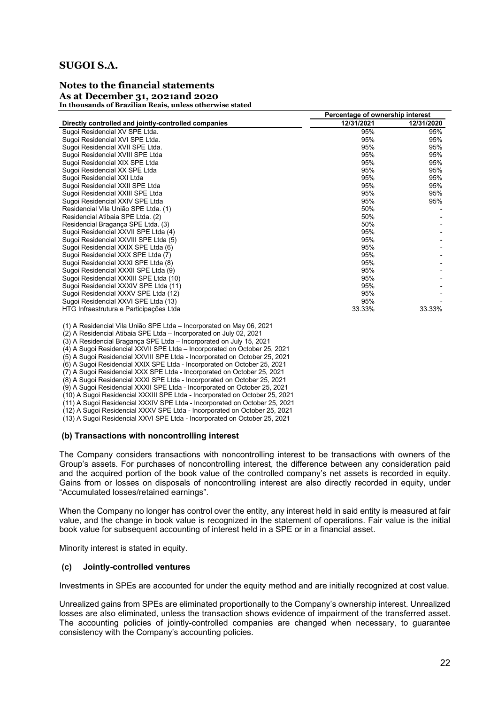### Notes to the financial statements As at December 31, 2021and 2020 In thousands of Brazilian Reais, unless otherwise stated

|                                                      | Percentage of ownership interest |            |  |  |
|------------------------------------------------------|----------------------------------|------------|--|--|
| Directly controlled and jointly-controlled companies | 12/31/2021                       | 12/31/2020 |  |  |
| Sugoi Residencial XV SPE Ltda.                       | 95%                              | 95%        |  |  |
| Sugoi Residencial XVI SPE Ltda.                      | 95%                              | 95%        |  |  |
| Sugoi Residencial XVII SPE Ltda.                     | 95%                              | 95%        |  |  |
| Sugoi Residencial XVIII SPE Ltda                     | 95%                              | 95%        |  |  |
| Sugoi Residencial XIX SPE Ltda                       | 95%                              | 95%        |  |  |
| Sugoi Residencial XX SPE Ltda                        | 95%                              | 95%        |  |  |
| Sugoi Residencial XXI Ltda                           | 95%                              | 95%        |  |  |
| Sugoi Residencial XXII SPE Ltda                      | 95%                              | 95%        |  |  |
| Sugoi Residencial XXIII SPE Ltda                     | 95%                              | 95%        |  |  |
| Sugoi Residencial XXIV SPE Ltda                      | 95%                              | 95%        |  |  |
| Residencial Vila União SPE Ltda. (1)                 | 50%                              |            |  |  |
| Residencial Atibaia SPE Ltda. (2)                    | 50%                              |            |  |  |
| Residencial Bragança SPE Ltda. (3)                   | 50%                              |            |  |  |
| Sugoi Residencial XXVII SPE Ltda (4)                 | 95%                              |            |  |  |
| Sugoi Residencial XXVIII SPE Ltda (5)                | 95%                              |            |  |  |
| Sugoi Residencial XXIX SPE Ltda (6)                  | 95%                              |            |  |  |
| Sugoi Residencial XXX SPE Ltda (7)                   | 95%                              |            |  |  |
| Sugoi Residencial XXXI SPE Ltda (8)                  | 95%                              |            |  |  |
| Sugoi Residencial XXXII SPE Ltda (9)                 | 95%                              |            |  |  |
| Sugoi Residencial XXXIII SPE Ltda (10)               | 95%                              |            |  |  |
| Sugoi Residencial XXXIV SPE Ltda (11)                | 95%                              |            |  |  |
| Sugoi Residencial XXXV SPE Ltda (12)                 | 95%                              |            |  |  |
| Sugoi Residencial XXVI SPE Ltda (13)                 | 95%                              |            |  |  |
| HTG Infraestrutura e Participações Ltda              | 33.33%                           | 33.33%     |  |  |

(1) A Residencial Vila União SPE Ltda – Incorporated on May 06, 2021

(2) A Residencial Atibaia SPE Ltda – Incorporated on July 02, 2021

(3) A Residencial Bragança SPE Ltda – Incorporated on July 15, 2021

(4) A Sugoi Residencial XXVII SPE Ltda – Incorporated on October 25, 2021

(5) A Sugoi Residencial XXVIII SPE Ltda - Incorporated on October 25, 2021 (6) A Sugoi Residencial XXIX SPE Ltda - Incorporated on October 25, 2021

(7) A Sugoi Residencial XXX SPE Ltda - Incorporated on October 25, 2021

(8) A Sugoi Residencial XXXI SPE Ltda - Incorporated on October 25, 2021

(9) A Sugoi Residencial XXXII SPE Ltda - Incorporated on October 25, 2021

(10) A Sugoi Residencial XXXIII SPE Ltda - Incorporated on October 25, 2021

(11) A Sugoi Residencial XXXIV SPE Ltda - Incorporated on October 25, 2021

(12) A Sugoi Residencial XXXV SPE Ltda - Incorporated on October 25, 2021

(13) A Sugoi Residencial XXVI SPE Ltda - Incorporated on October 25, 2021

### (b) Transactions with noncontrolling interest

The Company considers transactions with noncontrolling interest to be transactions with owners of the Group's assets. For purchases of noncontrolling interest, the difference between any consideration paid and the acquired portion of the book value of the controlled company's net assets is recorded in equity. Gains from or losses on disposals of noncontrolling interest are also directly recorded in equity, under "Accumulated losses/retained earnings".

When the Company no longer has control over the entity, any interest held in said entity is measured at fair value, and the change in book value is recognized in the statement of operations. Fair value is the initial book value for subsequent accounting of interest held in a SPE or in a financial asset.

Minority interest is stated in equity.

### (c) Jointly-controlled ventures

Investments in SPEs are accounted for under the equity method and are initially recognized at cost value.

Unrealized gains from SPEs are eliminated proportionally to the Company's ownership interest. Unrealized losses are also eliminated, unless the transaction shows evidence of impairment of the transferred asset. The accounting policies of jointly-controlled companies are changed when necessary, to guarantee consistency with the Company's accounting policies.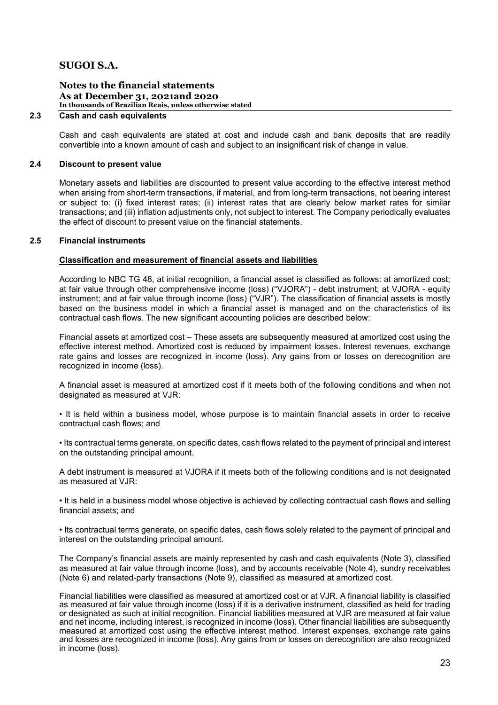### Notes to the financial statements As at December 31, 2021and 2020 In thousands of Brazilian Reais, unless otherwise stated

### 2.3 Cash and cash equivalents

Cash and cash equivalents are stated at cost and include cash and bank deposits that are readily convertible into a known amount of cash and subject to an insignificant risk of change in value.

### 2.4 Discount to present value

Monetary assets and liabilities are discounted to present value according to the effective interest method when arising from short-term transactions, if material, and from long-term transactions, not bearing interest or subject to: (i) fixed interest rates; (ii) interest rates that are clearly below market rates for similar transactions; and (iii) inflation adjustments only, not subject to interest. The Company periodically evaluates the effect of discount to present value on the financial statements.

### 2.5 Financial instruments

#### Classification and measurement of financial assets and liabilities

According to NBC TG 48, at initial recognition, a financial asset is classified as follows: at amortized cost; at fair value through other comprehensive income (loss) ("VJORA") - debt instrument; at VJORA - equity instrument; and at fair value through income (loss) ("VJR"). The classification of financial assets is mostly based on the business model in which a financial asset is managed and on the characteristics of its contractual cash flows. The new significant accounting policies are described below:

Financial assets at amortized cost – These assets are subsequently measured at amortized cost using the effective interest method. Amortized cost is reduced by impairment losses. Interest revenues, exchange rate gains and losses are recognized in income (loss). Any gains from or losses on derecognition are recognized in income (loss).

A financial asset is measured at amortized cost if it meets both of the following conditions and when not designated as measured at VJR:

• It is held within a business model, whose purpose is to maintain financial assets in order to receive contractual cash flows; and

• Its contractual terms generate, on specific dates, cash flows related to the payment of principal and interest on the outstanding principal amount.

A debt instrument is measured at VJORA if it meets both of the following conditions and is not designated as measured at VJR:

• It is held in a business model whose objective is achieved by collecting contractual cash flows and selling financial assets; and

• Its contractual terms generate, on specific dates, cash flows solely related to the payment of principal and interest on the outstanding principal amount.

The Company's financial assets are mainly represented by cash and cash equivalents (Note 3), classified as measured at fair value through income (loss), and by accounts receivable (Note 4), sundry receivables (Note 6) and related-party transactions (Note 9), classified as measured at amortized cost.

Financial liabilities were classified as measured at amortized cost or at VJR. A financial liability is classified as measured at fair value through income (loss) if it is a derivative instrument, classified as held for trading or designated as such at initial recognition. Financial liabilities measured at VJR are measured at fair value and net income, including interest, is recognized in income (loss). Other financial liabilities are subsequently measured at amortized cost using the effective interest method. Interest expenses, exchange rate gains and losses are recognized in income (loss). Any gains from or losses on derecognition are also recognized in income (loss).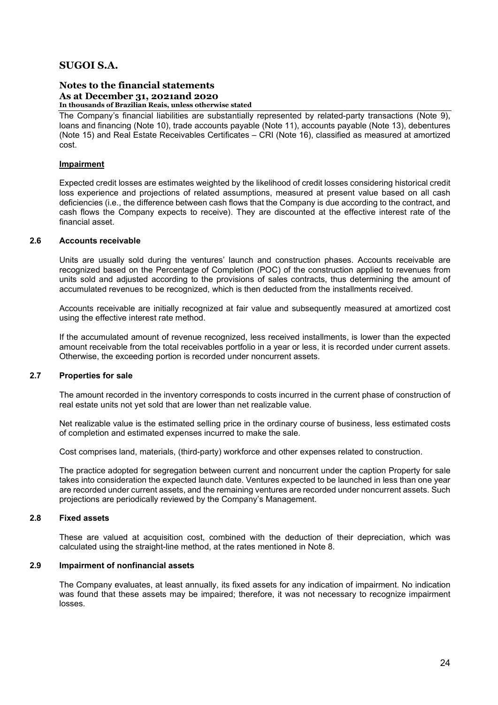#### Notes to the financial statements As at December 31, 2021and 2020 In thousands of Brazilian Reais, unless otherwise stated

The Company's financial liabilities are substantially represented by related-party transactions (Note 9), loans and financing (Note 10), trade accounts payable (Note 11), accounts payable (Note 13), debentures (Note 15) and Real Estate Receivables Certificates – CRI (Note 16), classified as measured at amortized cost.

### Impairment

Expected credit losses are estimates weighted by the likelihood of credit losses considering historical credit loss experience and projections of related assumptions, measured at present value based on all cash deficiencies (i.e., the difference between cash flows that the Company is due according to the contract, and cash flows the Company expects to receive). They are discounted at the effective interest rate of the financial asset.

### 2.6 Accounts receivable

Units are usually sold during the ventures' launch and construction phases. Accounts receivable are recognized based on the Percentage of Completion (POC) of the construction applied to revenues from units sold and adjusted according to the provisions of sales contracts, thus determining the amount of accumulated revenues to be recognized, which is then deducted from the installments received.

Accounts receivable are initially recognized at fair value and subsequently measured at amortized cost using the effective interest rate method.

If the accumulated amount of revenue recognized, less received installments, is lower than the expected amount receivable from the total receivables portfolio in a year or less, it is recorded under current assets. Otherwise, the exceeding portion is recorded under noncurrent assets.

### 2.7 Properties for sale

The amount recorded in the inventory corresponds to costs incurred in the current phase of construction of real estate units not yet sold that are lower than net realizable value.

Net realizable value is the estimated selling price in the ordinary course of business, less estimated costs of completion and estimated expenses incurred to make the sale.

Cost comprises land, materials, (third-party) workforce and other expenses related to construction.

The practice adopted for segregation between current and noncurrent under the caption Property for sale takes into consideration the expected launch date. Ventures expected to be launched in less than one year are recorded under current assets, and the remaining ventures are recorded under noncurrent assets. Such projections are periodically reviewed by the Company's Management.

### 2.8 Fixed assets

These are valued at acquisition cost, combined with the deduction of their depreciation, which was calculated using the straight-line method, at the rates mentioned in Note 8.

### 2.9 Impairment of nonfinancial assets

The Company evaluates, at least annually, its fixed assets for any indication of impairment. No indication was found that these assets may be impaired; therefore, it was not necessary to recognize impairment losses.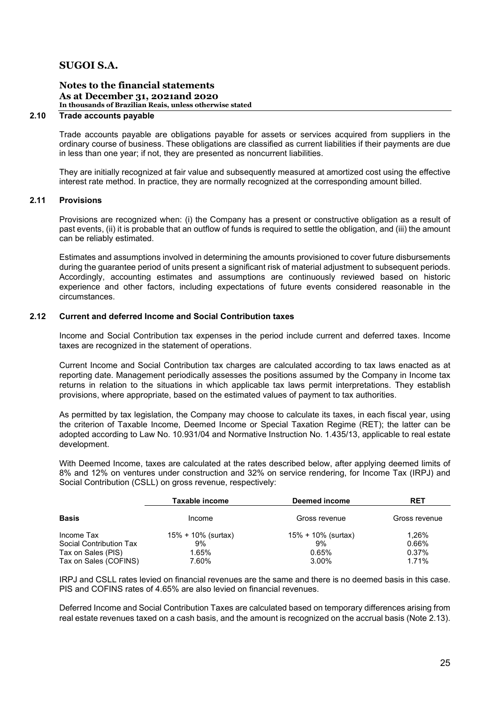### Notes to the financial statements As at December 31, 2021and 2020 In thousands of Brazilian Reais, unless otherwise stated

### 2.10 Trade accounts payable

Trade accounts payable are obligations payable for assets or services acquired from suppliers in the ordinary course of business. These obligations are classified as current liabilities if their payments are due in less than one year; if not, they are presented as noncurrent liabilities.

They are initially recognized at fair value and subsequently measured at amortized cost using the effective interest rate method. In practice, they are normally recognized at the corresponding amount billed.

### 2.11 Provisions

Provisions are recognized when: (i) the Company has a present or constructive obligation as a result of past events, (ii) it is probable that an outflow of funds is required to settle the obligation, and (iii) the amount can be reliably estimated.

Estimates and assumptions involved in determining the amounts provisioned to cover future disbursements during the guarantee period of units present a significant risk of material adjustment to subsequent periods. Accordingly, accounting estimates and assumptions are continuously reviewed based on historic experience and other factors, including expectations of future events considered reasonable in the circumstances.

### 2.12 Current and deferred Income and Social Contribution taxes

Income and Social Contribution tax expenses in the period include current and deferred taxes. Income taxes are recognized in the statement of operations.

Current Income and Social Contribution tax charges are calculated according to tax laws enacted as at reporting date. Management periodically assesses the positions assumed by the Company in Income tax returns in relation to the situations in which applicable tax laws permit interpretations. They establish provisions, where appropriate, based on the estimated values of payment to tax authorities.

As permitted by tax legislation, the Company may choose to calculate its taxes, in each fiscal year, using the criterion of Taxable Income, Deemed Income or Special Taxation Regime (RET); the latter can be adopted according to Law No. 10.931/04 and Normative Instruction No. 1.435/13, applicable to real estate development.

With Deemed Income, taxes are calculated at the rates described below, after applying deemed limits of 8% and 12% on ventures under construction and 32% on service rendering, for Income Tax (IRPJ) and Social Contribution (CSLL) on gross revenue, respectively:

|                         | Taxable income     | Deemed income      | <b>RET</b>    |
|-------------------------|--------------------|--------------------|---------------|
| <b>Basis</b>            | Income             | Gross revenue      | Gross revenue |
| Income Tax              | 15% + 10% (surtax) | 15% + 10% (surtax) | 1,26%         |
| Social Contribution Tax | 9%                 | 9%                 | 0.66%         |
| Tax on Sales (PIS)      | 1.65%              | 0.65%              | 0.37%         |
| Tax on Sales (COFINS)   | 7.60%              | 3.00%              | 1.71%         |

IRPJ and CSLL rates levied on financial revenues are the same and there is no deemed basis in this case. PIS and COFINS rates of 4.65% are also levied on financial revenues.

Deferred Income and Social Contribution Taxes are calculated based on temporary differences arising from real estate revenues taxed on a cash basis, and the amount is recognized on the accrual basis (Note 2.13).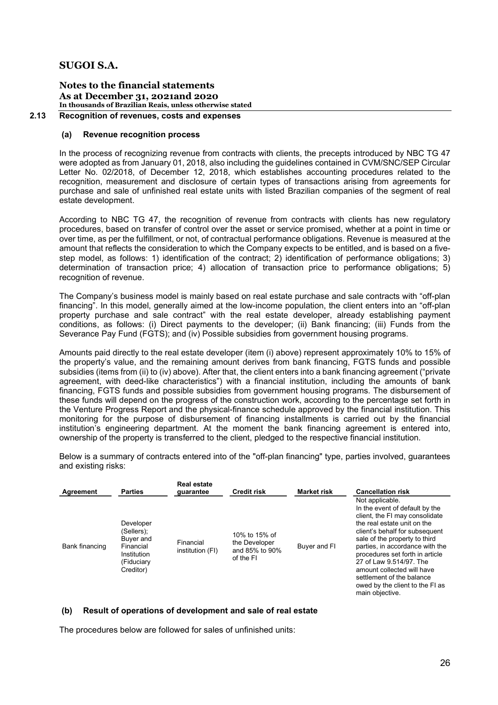### Notes to the financial statements As at December 31, 2021and 2020 In thousands of Brazilian Reais, unless otherwise stated

### 2.13 Recognition of revenues, costs and expenses

### (a) Revenue recognition process

In the process of recognizing revenue from contracts with clients, the precepts introduced by NBC TG 47 were adopted as from January 01, 2018, also including the guidelines contained in CVM/SNC/SEP Circular Letter No. 02/2018, of December 12, 2018, which establishes accounting procedures related to the recognition, measurement and disclosure of certain types of transactions arising from agreements for purchase and sale of unfinished real estate units with listed Brazilian companies of the segment of real estate development.

According to NBC TG 47, the recognition of revenue from contracts with clients has new regulatory procedures, based on transfer of control over the asset or service promised, whether at a point in time or over time, as per the fulfillment, or not, of contractual performance obligations. Revenue is measured at the amount that reflects the consideration to which the Company expects to be entitled, and is based on a fivestep model, as follows: 1) identification of the contract; 2) identification of performance obligations; 3) determination of transaction price; 4) allocation of transaction price to performance obligations; 5) recognition of revenue.

The Company's business model is mainly based on real estate purchase and sale contracts with "off-plan financing". In this model, generally aimed at the low-income population, the client enters into an "off-plan property purchase and sale contract" with the real estate developer, already establishing payment conditions, as follows: (i) Direct payments to the developer; (ii) Bank financing; (iii) Funds from the Severance Pay Fund (FGTS); and (iv) Possible subsidies from government housing programs.

Amounts paid directly to the real estate developer (item (i) above) represent approximately 10% to 15% of the property's value, and the remaining amount derives from bank financing, FGTS funds and possible subsidies (items from (ii) to (iv) above). After that, the client enters into a bank financing agreement ("private agreement, with deed-like characteristics") with a financial institution, including the amounts of bank financing, FGTS funds and possible subsidies from government housing programs. The disbursement of these funds will depend on the progress of the construction work, according to the percentage set forth in the Venture Progress Report and the physical-finance schedule approved by the financial institution. This monitoring for the purpose of disbursement of financing installments is carried out by the financial institution's engineering department. At the moment the bank financing agreement is entered into, ownership of the property is transferred to the client, pledged to the respective financial institution.

Below is a summary of contracts entered into of the "off-plan financing" type, parties involved, guarantees and existing risks:

| Agreement      | <b>Parties</b>                                                                              | <b>Real estate</b><br>guarantee | <b>Credit risk</b>                                            | <b>Market risk</b> | <b>Cancellation risk</b>                                                                                                                                                                                                                                                                                                                                                                                |
|----------------|---------------------------------------------------------------------------------------------|---------------------------------|---------------------------------------------------------------|--------------------|---------------------------------------------------------------------------------------------------------------------------------------------------------------------------------------------------------------------------------------------------------------------------------------------------------------------------------------------------------------------------------------------------------|
| Bank financing | Developer<br>(Sellers);<br>Buyer and<br>Financial<br>Institution<br>(Fiduciary<br>Creditor) | Financial<br>institution (FI)   | 10% to 15% of<br>the Developer<br>and 85% to 90%<br>of the FI | Buyer and FI       | Not applicable.<br>In the event of default by the<br>client, the FI may consolidate<br>the real estate unit on the<br>client's behalf for subsequent<br>sale of the property to third<br>parties, in accordance with the<br>procedures set forth in article<br>27 of Law 9.514/97. The<br>amount collected will have<br>settlement of the balance<br>owed by the client to the FI as<br>main objective. |

### (b) Result of operations of development and sale of real estate

The procedures below are followed for sales of unfinished units: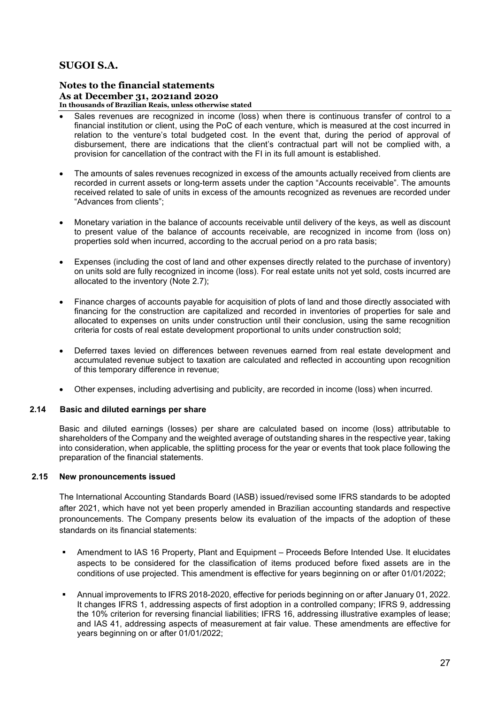### Notes to the financial statements As at December 31, 2021and 2020 In thousands of Brazilian Reais, unless otherwise stated

- Sales revenues are recognized in income (loss) when there is continuous transfer of control to a financial institution or client, using the PoC of each venture, which is measured at the cost incurred in relation to the venture's total budgeted cost. In the event that, during the period of approval of disbursement, there are indications that the client's contractual part will not be complied with, a provision for cancellation of the contract with the FI in its full amount is established.
- The amounts of sales revenues recognized in excess of the amounts actually received from clients are recorded in current assets or long-term assets under the caption "Accounts receivable". The amounts received related to sale of units in excess of the amounts recognized as revenues are recorded under "Advances from clients";
- Monetary variation in the balance of accounts receivable until delivery of the keys, as well as discount to present value of the balance of accounts receivable, are recognized in income from (loss on) properties sold when incurred, according to the accrual period on a pro rata basis;
- Expenses (including the cost of land and other expenses directly related to the purchase of inventory) on units sold are fully recognized in income (loss). For real estate units not yet sold, costs incurred are allocated to the inventory (Note 2.7);
- Finance charges of accounts payable for acquisition of plots of land and those directly associated with financing for the construction are capitalized and recorded in inventories of properties for sale and allocated to expenses on units under construction until their conclusion, using the same recognition criteria for costs of real estate development proportional to units under construction sold;
- Deferred taxes levied on differences between revenues earned from real estate development and accumulated revenue subject to taxation are calculated and reflected in accounting upon recognition of this temporary difference in revenue;
- Other expenses, including advertising and publicity, are recorded in income (loss) when incurred.

### 2.14 Basic and diluted earnings per share

Basic and diluted earnings (losses) per share are calculated based on income (loss) attributable to shareholders of the Company and the weighted average of outstanding shares in the respective year, taking into consideration, when applicable, the splitting process for the year or events that took place following the preparation of the financial statements.

### 2.15 New pronouncements issued

The International Accounting Standards Board (IASB) issued/revised some IFRS standards to be adopted after 2021, which have not yet been properly amended in Brazilian accounting standards and respective pronouncements. The Company presents below its evaluation of the impacts of the adoption of these standards on its financial statements:

- Amendment to IAS 16 Property, Plant and Equipment Proceeds Before Intended Use. It elucidates aspects to be considered for the classification of items produced before fixed assets are in the conditions of use projected. This amendment is effective for years beginning on or after 01/01/2022;
- Annual improvements to IFRS 2018-2020, effective for periods beginning on or after January 01, 2022. It changes IFRS 1, addressing aspects of first adoption in a controlled company; IFRS 9, addressing the 10% criterion for reversing financial liabilities; IFRS 16, addressing illustrative examples of lease; and IAS 41, addressing aspects of measurement at fair value. These amendments are effective for years beginning on or after 01/01/2022;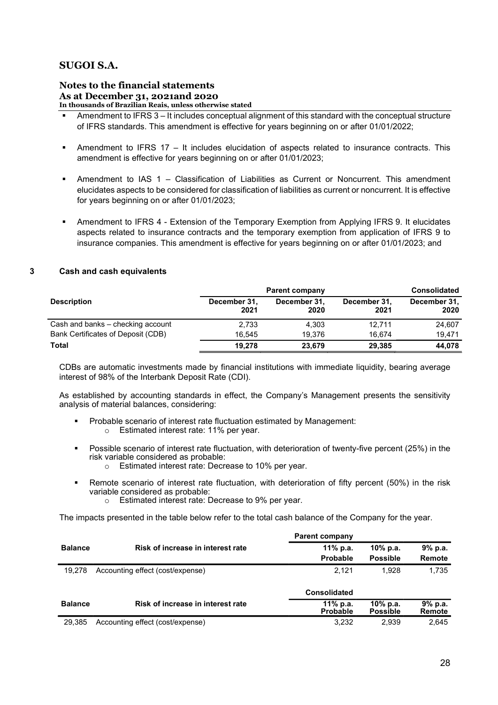### Notes to the financial statements As at December 31, 2021and 2020 In thousands of Brazilian Reais, unless otherwise stated

- Amendment to IFRS 3 It includes conceptual alignment of this standard with the conceptual structure of IFRS standards. This amendment is effective for years beginning on or after 01/01/2022;
- Amendment to IFRS 17 It includes elucidation of aspects related to insurance contracts. This amendment is effective for years beginning on or after 01/01/2023;
- Amendment to IAS 1 Classification of Liabilities as Current or Noncurrent. This amendment elucidates aspects to be considered for classification of liabilities as current or noncurrent. It is effective for years beginning on or after 01/01/2023;
- Amendment to IFRS 4 Extension of the Temporary Exemption from Applying IFRS 9. It elucidates aspects related to insurance contracts and the temporary exemption from application of IFRS 9 to insurance companies. This amendment is effective for years beginning on or after 01/01/2023; and

### 3 Cash and cash equivalents

|                                    | <b>Parent company</b> | <b>Consolidated</b>  |                      |                      |
|------------------------------------|-----------------------|----------------------|----------------------|----------------------|
| <b>Description</b>                 | December 31,<br>2021  | December 31,<br>2020 | December 31,<br>2021 | December 31,<br>2020 |
| Cash and banks – checking account  | 2,733                 | 4.303                | 12.711               | 24.607               |
| Bank Certificates of Deposit (CDB) | 16.545                | 19.376               | 16.674               | 19.471               |
| Total                              | 19.278                | 23,679               | 29.385               | 44,078               |

CDBs are automatic investments made by financial institutions with immediate liquidity, bearing average interest of 98% of the Interbank Deposit Rate (CDI).

As established by accounting standards in effect, the Company's Management presents the sensitivity analysis of material balances, considering:

- Probable scenario of interest rate fluctuation estimated by Management:
	- o Estimated interest rate: 11% per year.
- Possible scenario of interest rate fluctuation, with deterioration of twenty-five percent (25%) in the risk variable considered as probable:
	- o Estimated interest rate: Decrease to 10% per year.
- Remote scenario of interest rate fluctuation, with deterioration of fifty percent (50%) in the risk variable considered as probable:
	- o Estimated interest rate: Decrease to 9% per year.

The impacts presented in the table below refer to the total cash balance of the Company for the year.

|                |                                   | <b>Parent company</b>       |                                |                   |
|----------------|-----------------------------------|-----------------------------|--------------------------------|-------------------|
| <b>Balance</b> | Risk of increase in interest rate | 11% p.a.                    | 10 $%$ p.a.                    | 9%p.a.            |
|                |                                   | Probable                    | <b>Possible</b>                | Remote            |
| 19.278         | Accounting effect (cost/expense)  | 2.121                       | 1.928                          | 1.735             |
|                |                                   | <b>Consolidated</b>         |                                |                   |
| <b>Balance</b> | Risk of increase in interest rate | 11% p.a.<br><b>Probable</b> | $10\%$ p.a.<br><b>Possible</b> | 9% p.a.<br>Remote |
| 29.385         | Accounting effect (cost/expense)  | 3,232                       | 2.939                          | 2,645             |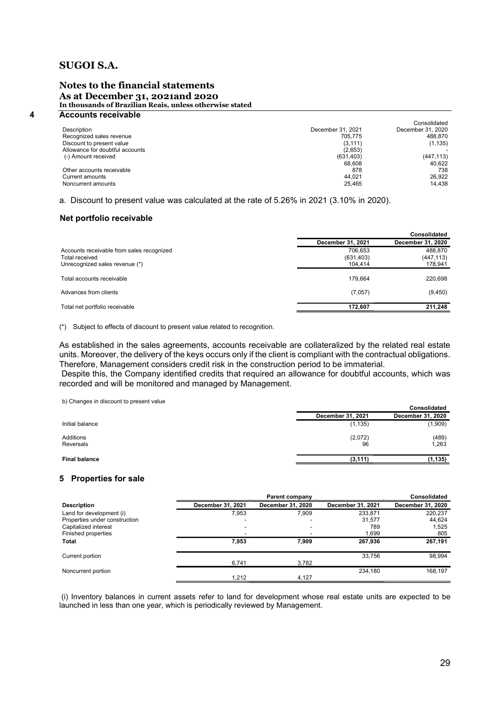### Notes to the financial statements As at December 31, 2021and 2020 In thousands of Brazilian Reais, unless otherwise stated

| 4 | <b>Accounts receivable</b>      |                   |                   |
|---|---------------------------------|-------------------|-------------------|
|   |                                 |                   | Consolidated      |
|   | <b>Description</b>              | December 31, 2021 | December 31, 2020 |
|   | Recognized sales revenue        | 705.775           | 488.870           |
|   | Discount to present value       | (3, 111)          | (1, 135)          |
|   | Allowance for doubtful accounts | (2,653)           |                   |
|   | (-) Amount received             | (631, 403)        | (447, 113)        |
|   |                                 | 68.608            | 40.622            |
|   | Other accounts receivable       | 878               | 738               |
|   | Current amounts                 | 44.021            | 26,922            |
|   | Noncurrent amounts              | 25.465            | 14.438            |

a. Discount to present value was calculated at the rate of 5.26% in 2021 (3.10% in 2020).

### Net portfolio receivable

|                                           |                   | <b>Consolidated</b> |
|-------------------------------------------|-------------------|---------------------|
|                                           | December 31, 2021 | December 31, 2020   |
| Accounts receivable from sales recognized | 706.653           | 488,870             |
| Total received                            | (631, 403)        | (447, 113)          |
| Unrecognized sales revenue (*)            | 104.414           | 178,941             |
|                                           |                   |                     |
| Total accounts receivable                 | 179.664           | 220,698             |
| Advances from clients                     | (7,057)           | (9,450)             |
|                                           |                   |                     |
| Total net portfolio receivable            | 172.607           | 211,248             |

(\*) Subject to effects of discount to present value related to recognition.

As established in the sales agreements, accounts receivable are collateralized by the related real estate units. Moreover, the delivery of the keys occurs only if the client is compliant with the contractual obligations. Therefore, Management considers credit risk in the construction period to be immaterial.

 Despite this, the Company identified credits that required an allowance for doubtful accounts, which was recorded and will be monitored and managed by Management.

b) Changes in discount to present value

| b) Originges in discount to present value |                   | Consolidated      |
|-------------------------------------------|-------------------|-------------------|
|                                           | December 31, 2021 | December 31, 2020 |
| Initial balance                           | (1, 135)          | (1,909)           |
| Additions<br>Reversals                    | (2,072)<br>96     | (489)<br>1,263    |
| <b>Final balance</b>                      | (3, 111)          | (1,135)           |

### 5 Properties for sale

|                               |                   | Parent company    |                   | <b>Consolidated</b> |
|-------------------------------|-------------------|-------------------|-------------------|---------------------|
| <b>Description</b>            | December 31, 2021 | December 31, 2020 | December 31, 2021 | December 31, 2020   |
| Land for development (i)      | 7.953             | 7.909             | 233.871           | 220.237             |
| Properties under construction | -                 |                   | 31,577            | 44,624              |
| Capitalized interest          | -                 |                   | 789               | 1,525               |
| Finished properties           | -                 |                   | 1,699             | 805                 |
| Total                         | 7,953             | 7,909             | 267,936           | 267,191             |
| Current portion               |                   |                   | 33.756            | 98,994              |
|                               | 6,741             | 3,782             |                   |                     |
| Noncurrent portion            |                   |                   | 234.180           | 168.197             |
|                               | 1.212             | 4.127             |                   |                     |

 (i) Inventory balances in current assets refer to land for development whose real estate units are expected to be launched in less than one year, which is periodically reviewed by Management.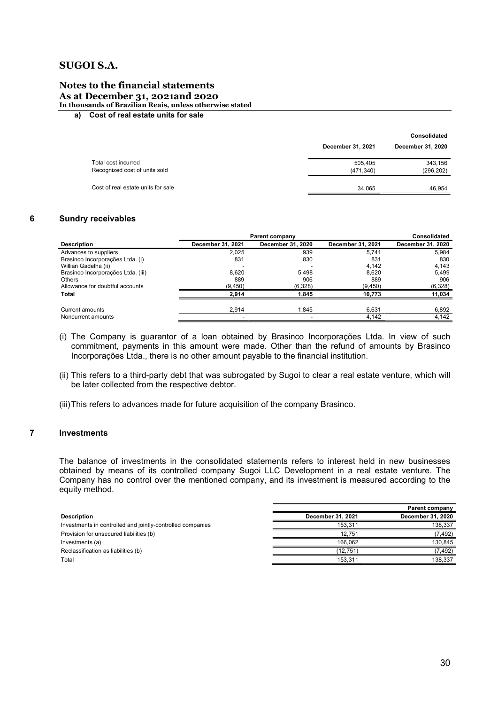### Notes to the financial statements As at December 31, 2021and 2020

In thousands of Brazilian Reais, unless otherwise stated

### a) Cost of real estate units for sale

|                                                      |                       | <b>Consolidated</b>   |
|------------------------------------------------------|-----------------------|-----------------------|
|                                                      | December 31, 2021     | December 31, 2020     |
| Total cost incurred<br>Recognized cost of units sold | 505.405<br>(471, 340) | 343,156<br>(296, 202) |
| Cost of real estate units for sale                   | 34.065                | 46.954                |
|                                                      |                       |                       |

### 6 Sundry receivables

|                                    | <b>Parent company</b> | <b>Consolidated</b> |                   |                   |
|------------------------------------|-----------------------|---------------------|-------------------|-------------------|
| <b>Description</b>                 | December 31, 2021     | December 31, 2020   | December 31, 2021 | December 31, 2020 |
| Advances to suppliers              | 2,025                 | 939                 | 5.741             | 5,984             |
| Brasinco Incorporações Ltda. (i)   | 831                   | 830                 | 831               | 830               |
| Willian Gadelha (ii)               |                       |                     | 4.142             | 4.143             |
| Brasinco Incorporações Ltda. (iii) | 8.620                 | 5.498               | 8.620             | 5.499             |
| <b>Others</b>                      | 889                   | 906                 | 889               | 906               |
| Allowance for doubtful accounts    | (9,450)               | (6,328)             | (9, 450)          | (6,328)           |
| <b>Total</b>                       | 2.914                 | 1.845               | 10.773            | 11,034            |
| Current amounts                    | 2.914                 | 1.845               | 6.631             | 6,892             |
| Noncurrent amounts                 |                       |                     | 4,142             | 4,142             |

- (i) The Company is guarantor of a loan obtained by Brasinco Incorporações Ltda. In view of such commitment, payments in this amount were made. Other than the refund of amounts by Brasinco Incorporações Ltda., there is no other amount payable to the financial institution.
- (ii) This refers to a third-party debt that was subrogated by Sugoi to clear a real estate venture, which will be later collected from the respective debtor.
- (iii) This refers to advances made for future acquisition of the company Brasinco.

### 7 Investments

The balance of investments in the consolidated statements refers to interest held in new businesses obtained by means of its controlled company Sugoi LLC Development in a real estate venture. The Company has no control over the mentioned company, and its investment is measured according to the equity method.

|                                                            |                   | Parent company    |
|------------------------------------------------------------|-------------------|-------------------|
| <b>Description</b>                                         | December 31, 2021 | December 31, 2020 |
| Investments in controlled and jointly-controlled companies | 153.311           | 138.337           |
| Provision for unsecured liabilities (b)                    | 12.751            | (7,492)           |
| Investments (a)                                            | 166.062           | 130,845           |
| Reclassification as liabilities (b)                        | (12, 751)         | (7,492)           |
| Total                                                      | 153.311           | 138.337           |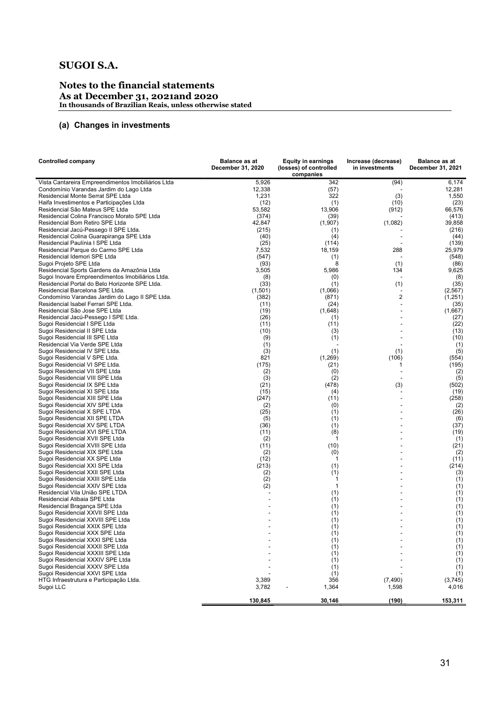### Notes to the financial statements As at December 31, 2021and 2020 In thousands of Brazilian Reais, unless otherwise stated

### (a) Changes in investments

| <b>Controlled company</b>                                                       | <b>Balance as at</b><br>December 31, 2020 | <b>Equity in earnings</b><br>(losses) of controlled | Increase (decrease)<br>in investments | <b>Balance as at</b><br>December 31, 2021 |
|---------------------------------------------------------------------------------|-------------------------------------------|-----------------------------------------------------|---------------------------------------|-------------------------------------------|
|                                                                                 |                                           | companies                                           |                                       |                                           |
| Vista Cantareira Empreendimentos Imobiliários Ltda                              | 5,926                                     | 342                                                 | (94)                                  | 6,174                                     |
| Condomínio Varandas Jardim do Lago Ltda                                         | 12,338                                    | (57)                                                |                                       | 12,281                                    |
| Residencial Monte Serrat SPE Ltda                                               | 1,231                                     | 322                                                 | (3)                                   | 1,550                                     |
| Haifa Investimentos e Participações Ltda                                        | (12)                                      | (1)                                                 | (10)                                  | (23)                                      |
| Residencial São Mateus SPE Ltda<br>Residencial Colina Francisco Morato SPE Ltda | 53,582                                    | 13,906                                              | (912)                                 | 66,576                                    |
| Residencial Bom Retiro SPE Ltda                                                 | (374)<br>42,847                           | (39)<br>(1,907)                                     | (1,082)                               | (413)<br>39,858                           |
| Residencial Jacú-Pessego II SPE Ltda.                                           | (215)                                     | (1)                                                 |                                       | (216)                                     |
| Residencial Colina Guarapiranga SPE Ltda                                        | (40)                                      | (4)                                                 |                                       | (44)                                      |
| Residencial Paulínia I SPE Ltda                                                 | (25)                                      | (114)                                               |                                       | (139)                                     |
| Residencial Parque do Carmo SPE Ltda                                            | 7,532                                     | 18,159                                              | 288                                   | 25,979                                    |
| Residencial Idemori SPE Ltda                                                    | (547)                                     | (1)                                                 |                                       | (548)                                     |
| Sugoi Projeto SPE Ltda                                                          | (93)                                      | 8                                                   | (1)                                   | (86)                                      |
| Residencial Sports Gardens da Amazônia Ltda                                     | 3,505                                     | 5,986                                               | 134                                   | 9,625                                     |
| Sugoi Inovare Empreendimentos Imobiliários Ltda.                                | (8)                                       | (0)                                                 |                                       | (8)                                       |
| Residencial Portal do Belo Horizonte SPE Ltda.                                  | (33)                                      | (1)                                                 | (1)                                   | (35)                                      |
| Residencial Barcelona SPE Ltda.                                                 | (1,501)                                   | (1,066)                                             |                                       | (2, 567)                                  |
| Condomínio Varandas Jardim do Lago II SPE Ltda.                                 | (382)                                     | (871)                                               | 2                                     | (1,251)                                   |
| Residencial Isabel Ferrari SPE Ltda.                                            | (11)                                      | (24)                                                |                                       | (35)                                      |
| Residencial São Jose SPE Ltda<br>Residencial Jacú-Pessego I SPE Ltda.           | (19)<br>(26)                              | (1,648)                                             |                                       | (1,667)                                   |
| Sugoi Residencial I SPE Ltda                                                    | (11)                                      | (1)<br>(11)                                         |                                       | (27)<br>(22)                              |
| Sugoi Residencial II SPE Ltda                                                   | (10)                                      | (3)                                                 |                                       | (13)                                      |
| Sugoi Residencial III SPE Ltda                                                  | (9)                                       | (1)                                                 |                                       | (10)                                      |
| Residencial Via Verde SPE Ltda                                                  | (1)                                       |                                                     |                                       | (1)                                       |
| Sugoi Residencial IV SPE Ltda.                                                  | (3)                                       | (1)                                                 | (1)                                   | (5)                                       |
| Sugoi Residencial V SPE Ltda.                                                   | 821                                       | (1,269)                                             | (106)                                 | (554)                                     |
| Sugoi Residencial VI SPE Ltda.                                                  | (175)                                     | (21)                                                | 1                                     | (195)                                     |
| Sugoi Residencial VII SPE Ltda                                                  | (2)                                       | (0)                                                 |                                       | (2)                                       |
| Sugoi Residencial VIII SPE Ltda                                                 | (3)                                       | (2)                                                 |                                       | (5)                                       |
| Sugoi Residencial IX SPE Ltda                                                   | (21)                                      | (478)                                               | (3)                                   | (502)                                     |
| Sugoi Residencial XI SPE Ltda                                                   | (15)                                      | (4)                                                 |                                       | (19)                                      |
| Sugoi Residencial XIII SPE Ltda                                                 | (247)                                     | (11)                                                |                                       | (258)                                     |
| Sugoi Residencial XIV SPE Ltda                                                  | (2)                                       | (0)                                                 |                                       | (2)                                       |
| Sugoi Residencial X SPE LTDA<br>Sugoi Residencial XII SPE LTDA                  | (25)<br>(5)                               | (1)<br>(1)                                          |                                       | (26)<br>(6)                               |
| Sugoi Residencial XV SPE LTDA                                                   | (36)                                      | (1)                                                 |                                       | (37)                                      |
| Sugoi Residencial XVI SPE LTDA                                                  | (11)                                      | (8)                                                 |                                       | (19)                                      |
| Sugoi Residencial XVII SPE Ltda                                                 | (2)                                       | 1                                                   |                                       | (1)                                       |
| Sugoi Residencial XVIII SPE Ltda                                                | (11)                                      | (10)                                                |                                       | (21)                                      |
| Sugoi Residencial XIX SPE Ltda                                                  | (2)                                       | (0)                                                 |                                       | (2)                                       |
| Sugoi Residencial XX SPE Ltda                                                   | (12)                                      | 1                                                   |                                       | (11)                                      |
| Sugoi Residencial XXI SPE Ltda                                                  | (213)                                     | (1)                                                 |                                       | (214)                                     |
| Sugoi Residencial XXII SPE Ltda                                                 | (2)                                       | (1)                                                 |                                       | (3)                                       |
| Sugoi Residencial XXIII SPE Ltda                                                | (2)                                       | 1                                                   |                                       | (1)                                       |
| Sugoi Residencial XXIV SPE Ltda                                                 | (2)                                       | 1                                                   |                                       | (1)                                       |
| Residencial Vila União SPE LTDA                                                 |                                           | (1)                                                 |                                       | (1)                                       |
| Residencial Atibaia SPE Ltda                                                    |                                           | (1)                                                 |                                       | (1)                                       |
| Residencial Bragança SPE Ltda                                                   |                                           | (1)                                                 |                                       | (1)                                       |
| Sugoi Residencial XXVII SPE Ltda<br>Sugoi Residencial XXVIII SPE Ltda           |                                           | (1)                                                 |                                       | (1)<br>(1)                                |
| Sugoi Residencial XXIX SPE Ltda                                                 |                                           | (1)<br>(1)                                          |                                       | (1)                                       |
| Sugoi Residencial XXX SPE Ltda                                                  |                                           | (1)                                                 |                                       |                                           |
| Sugoi Residencial XXXI SPE Ltda                                                 |                                           | (1)                                                 |                                       | $\binom{1}{1}$                            |
| Sugoi Residencial XXXII SPE Ltda                                                |                                           | (1)                                                 |                                       | (1)                                       |
| Sugoi Residencial XXXIII SPE Ltda                                               |                                           | (1)                                                 |                                       | (1)                                       |
| Sugoi Residencial XXXIV SPE Ltda                                                |                                           | (1)                                                 |                                       | (1)                                       |
| Sugoi Residencial XXXV SPE Ltda                                                 |                                           | (1)                                                 |                                       | (1)                                       |
| Sugoi Residencial XXVI SPE Ltda                                                 |                                           | (1)                                                 |                                       | (1)                                       |
| HTG Infraestrutura e Participação Ltda.                                         | 3,389                                     | 356                                                 | (7, 490)                              | (3,745)                                   |
| Sugoi LLC                                                                       | 3,782                                     | 1,364                                               | 1,598                                 | 4,016                                     |
|                                                                                 | 130,845                                   | 30,146                                              | (190)                                 | 153,311                                   |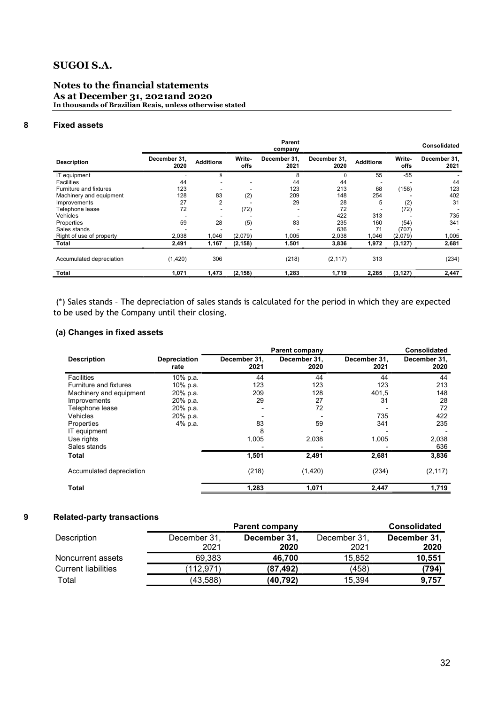### Notes to the financial statements As at December 31, 2021and 2020 In thousands of Brazilian Reais, unless otherwise stated

### 8 Fixed assets

|                          |                      |                          |                       | Parent<br>company    |                      |                  |                | <b>Consolidated</b>  |
|--------------------------|----------------------|--------------------------|-----------------------|----------------------|----------------------|------------------|----------------|----------------------|
| <b>Description</b>       | December 31,<br>2020 | <b>Additions</b>         | Write-<br><b>offs</b> | December 31.<br>2021 | December 31,<br>2020 | <b>Additions</b> | Write-<br>offs | December 31,<br>2021 |
| IT equipment             |                      | 8                        |                       | 8                    | $\theta$             | 55               | -55            |                      |
| <b>Facilities</b>        | 44                   |                          |                       | 44                   | 44                   |                  |                | 44                   |
| Furniture and fixtures   | 123                  |                          |                       | 123                  | 213                  | 68               | (158)          | 123                  |
| Machinery and equipment  | 128                  | 83                       | (2)                   | 209                  | 148                  | 254              |                | 402                  |
| Improvements             | 27                   | $\overline{2}$           |                       | 29                   | 28                   | 5                | (2)            | 31                   |
| Telephone lease          | 72                   | $\overline{\phantom{a}}$ | (72)                  | -                    | 72                   |                  | (72)           |                      |
| Vehicles                 |                      |                          |                       |                      | 422                  | 313              |                | 735                  |
| Properties               | 59                   | 28                       | (5)                   | 83                   | 235                  | 160              | (54)           | 341                  |
| Sales stands             |                      |                          |                       |                      | 636                  | 71               | (707)          |                      |
| Right of use of property | 2,038                | 1,046                    | (2,079)               | 1,005                | 2,038                | 1.046            | (2,079)        | 1,005                |
| Total                    | 2,491                | 1,167                    | (2, 158)              | 1,501                | 3,836                | 1,972            | (3, 127)       | 2,681                |
| Accumulated depreciation | (1,420)              | 306                      |                       | (218)                | (2, 117)             | 313              |                | (234)                |
| <b>Total</b>             | 1,071                | 1,473                    | (2, 158)              | 1,283                | 1,719                | 2,285            | (3, 127)       | 2,447                |

 (\*) Sales stands – The depreciation of sales stands is calculated for the period in which they are expected to be used by the Company until their closing.

### (a) Changes in fixed assets

|                               |                             | <b>Parent company</b> |                      | <b>Consolidated</b>  |                      |
|-------------------------------|-----------------------------|-----------------------|----------------------|----------------------|----------------------|
| <b>Description</b>            | <b>Depreciation</b><br>rate | December 31,<br>2021  | December 31,<br>2020 | December 31,<br>2021 | December 31,<br>2020 |
| <b>Facilities</b>             | 10% p.a.                    | 44                    | 44                   | 44                   | 44                   |
| <b>Furniture and fixtures</b> | 10% p.a.                    | 123                   | 123                  | 123                  | 213                  |
| Machinery and equipment       | 20% p.a.                    | 209                   | 128                  | 401,5                | 148                  |
| Improvements                  | 20% p.a.                    | 29                    | 27                   | 31                   | 28                   |
| Telephone lease               | 20% p.a.                    |                       | 72                   |                      | 72                   |
| Vehicles                      | 20% p.a.                    |                       |                      | 735                  | 422                  |
| Properties                    | 4% p.a.                     | 83                    | 59                   | 341                  | 235                  |
| IT equipment                  |                             | 8                     |                      |                      |                      |
| Use rights                    |                             | 1,005                 | 2,038                | 1,005                | 2,038                |
| Sales stands                  |                             |                       |                      |                      | 636                  |
| Total                         |                             | 1,501                 | 2,491                | 2,681                | 3,836                |
| Accumulated depreciation      |                             | (218)                 | (1,420)              | (234)                | (2, 117)             |
| <b>Total</b>                  |                             | 1,283                 | 1,071                | 2,447                | 1,719                |

### 9 Related-party transactions

|                            | <b>Parent company</b> | <b>Consolidated</b> |              |              |
|----------------------------|-----------------------|---------------------|--------------|--------------|
| Description                | December 31,          | December 31,        | December 31, | December 31, |
|                            | 2021                  | 2020                | 2021         | 2020         |
| Noncurrent assets          | 69.383                | 46.700              | 15.852       | 10,551       |
| <b>Current liabilities</b> | (112.971)             | (87.492)            | (458)        | (794)        |
| Total                      | (43, 588)             | (40,792)            | 15,394       | 9,757        |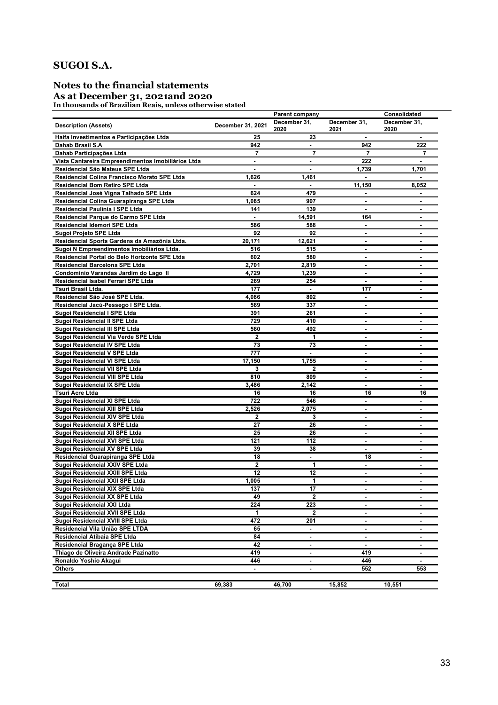# Notes to the financial statements

### As at December 31, 2021and 2020

In thousands of Brazilian Reais, unless otherwise stated

|                                                    |                   | Parent company       |                          | Consolidated         |  |
|----------------------------------------------------|-------------------|----------------------|--------------------------|----------------------|--|
| <b>Description (Assets)</b>                        | December 31, 2021 | December 31.<br>2020 | December 31,<br>2021     | December 31,<br>2020 |  |
| Haifa Investimentos e Participações Ltda           | 25                | 23                   | $\blacksquare$           | $\blacksquare$       |  |
| Dahab Brasil S.A                                   | 942               | $\mathbf{r}$         | 942                      | 222                  |  |
| Dahab Participações Ltda                           | 7                 | 7                    | 7                        | 7                    |  |
| Vista Cantareira Empreendimentos Imobiliários Ltda | $\blacksquare$    | $\blacksquare$       | 222                      |                      |  |
| Residencial São Mateus SPE Ltda                    | $\blacksquare$    | $\blacksquare$       | 1,739                    | 1,701                |  |
| Residencial Colina Francisco Morato SPE Ltda       | 1,626             | 1,461                |                          |                      |  |
| <b>Residencial Bom Retiro SPE Ltda</b>             |                   | $\blacksquare$       | 11,150                   | 8,052                |  |
| Residencial José Vigna Talhado SPE Ltda            | 624               | 479                  |                          |                      |  |
| Residencial Colina Guarapiranga SPE Ltda           | 1,085             | 907                  |                          |                      |  |
| Residencial Paulínia I SPE Ltda                    | 141               | 139                  | $\blacksquare$           | ٠                    |  |
| Residencial Parque do Carmo SPE Ltda               | $\blacksquare$    | 14,591               | 164                      | ٠                    |  |
| Residencial Idemori SPE Ltda                       | 586               | 588                  | ٠                        | ٠                    |  |
| Sugoi Projeto SPE Ltda                             | 92                | 92                   | $\blacksquare$           | ٠                    |  |
| Residencial Sports Gardens da Amazônia Ltda.       | 20,171            | 12,621               |                          | ۰                    |  |
| Sugoi N Empreendimentos Imobiliários Ltda.         | 516               | 515                  | $\blacksquare$           | $\blacksquare$       |  |
| Residencial Portal do Belo Horizonte SPE Ltda      | 602               | 580                  | $\blacksquare$           | ٠                    |  |
| Residencial Barcelona SPE Ltda                     | 2,701             | 2,819                | $\blacksquare$           | ٠                    |  |
| Condomínio Varandas Jardim do Lago II              | 4,729             | 1,239                | $\blacksquare$           | $\blacksquare$       |  |
| Residencial Isabel Ferrari SPE Ltda                | 269               | 254                  |                          | ٠                    |  |
| <b>Tsuri Brasil Ltda.</b>                          | 177               | $\blacksquare$       | 177                      | ۰                    |  |
| Residencial São José SPE Ltda.                     | 4,086             | 802                  | $\overline{\phantom{a}}$ | $\blacksquare$       |  |
| Residencial Jacú-Pessego I SPE Ltda.               | 569               | 337                  | $\blacksquare$           |                      |  |
| Sugoi Residencial I SPE Ltda                       | 391               | 261                  | $\blacksquare$           | $\blacksquare$       |  |
| Sugoi Residencial II SPE Ltda                      | 729               | 410                  | $\blacksquare$           | $\blacksquare$       |  |
| Sugoi Residencial III SPE Ltda                     | 560               | 492                  | $\blacksquare$           | $\blacksquare$       |  |
| Sugoi Residencial Via Verde SPE Ltda               | $\mathbf 2$       | 1                    | $\blacksquare$           | $\blacksquare$       |  |
| Sugoi Residencial IV SPE Ltda                      | 73                | 73                   | $\blacksquare$           | $\blacksquare$       |  |
| Sugoi Residencial V SPE Ltda                       | 777               | $\blacksquare$       | $\overline{\phantom{a}}$ | $\blacksquare$       |  |
| Sugoi Residencial VI SPE Ltda                      | 17,150            | 1,755                | $\blacksquare$           | $\blacksquare$       |  |
| Sugoi Residencial VII SPE Ltda                     | 3                 | $\mathbf 2$          | ٠                        | $\blacksquare$       |  |
| Sugoi Residencial VIII SPE Ltda                    | 810               | 809                  | $\blacksquare$           | $\blacksquare$       |  |
| Sugoi Residencial IX SPE Ltda                      | 3,486             | 2,142                | $\blacksquare$           | ٠                    |  |
| <b>Tsuri Acre Ltda</b>                             | 16                | 16                   | 16                       | 16                   |  |
| Sugoi Residencial XI SPE Ltda                      | 722               | 546                  | ٠                        | $\blacksquare$       |  |
| Sugoi Residencial XIII SPE Ltda                    | 2,526             | 2,075                | ٠                        | ٠                    |  |
| Sugoi Residencial XIV SPE Ltda                     | $\overline{2}$    | 3                    |                          |                      |  |
| Sugoi Residencial X SPE Ltda                       | 27                | 26                   | $\blacksquare$           | ٠                    |  |
| Sugoi Residencial XII SPE Ltda                     | 25                | 26                   | $\blacksquare$           | ٠                    |  |
| Sugoi Residencial XVI SPE Ltda                     | 121               | 112                  | $\blacksquare$           | ٠                    |  |
| Sugoi Residencial XV SPE Ltda                      | 39                | 38                   | $\blacksquare$           | ٠                    |  |
| Residencial Guarapiranga SPE Ltda                  | 18                | $\blacksquare$       | 18                       |                      |  |
| Sugoi Residencial XXIV SPE Ltda                    | $\mathbf 2$       | 1                    | $\blacksquare$           | $\blacksquare$       |  |
| Sugoi Residencial XXIII SPE Ltda                   | 12                | 12                   | ٠                        | $\blacksquare$       |  |
| Sugoi Residencial XXII SPE Ltda                    | 1,005             | 1                    | ٠                        |                      |  |
| Sugoi Residencial XIX SPE Ltda                     | 137               | 17                   |                          |                      |  |
| Sugoi Residencial XX SPE Ltda                      | 49                | $\mathbf{2}$         | $\blacksquare$           |                      |  |
| Sugoi Residencial XXI Ltda                         | 224               | 223                  | $\blacksquare$           | ۰                    |  |
| Sugoi Residencial XVII SPE Ltda                    | 1                 | $\mathbf{2}$         |                          |                      |  |
| Sugoi Residencial XVIII SPE Ltda                   | 472               | 201                  | $\blacksquare$           | $\sim$               |  |
| Residencial Vila União SPE LTDA                    | 65                | $\blacksquare$       |                          |                      |  |
| Residencial Atibaia SPE Ltda                       | 84                |                      |                          |                      |  |
| Residencial Bragança SPE Ltda                      | 42                | $\blacksquare$       | $\blacksquare$           | $\blacksquare$       |  |
| Thiago de Oliveira Andrade Pazinatto               | 419               | $\blacksquare$       | 419                      | ٠                    |  |
| Ronaldo Yoshio Akagui                              | 446               | $\blacksquare$       | 446                      | ۰.                   |  |
| <b>Others</b>                                      |                   | $\blacksquare$       | 552                      | 553                  |  |
|                                                    |                   |                      |                          |                      |  |
| Total                                              | 69,383            | 46,700               | 15,852                   | 10,551               |  |
|                                                    |                   |                      |                          |                      |  |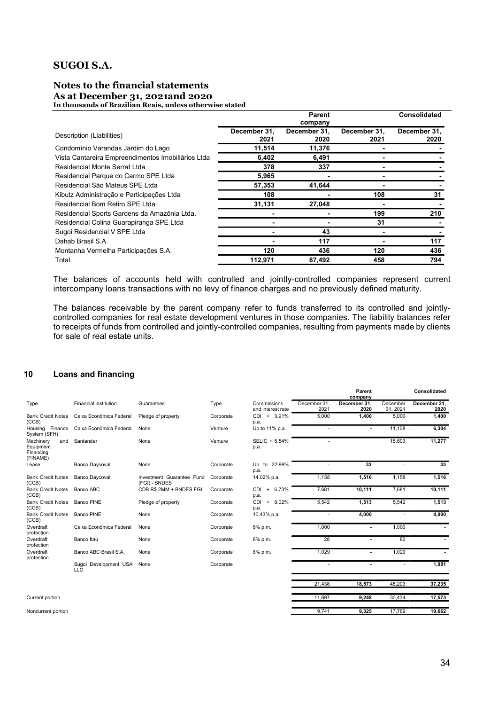### Notes to the financial statements As at December 31, 2021and 2020 In thousands of Brazilian Reais, unless otherwise stated

|                                                    |                      | <b>Parent</b>        |                      | Consolidated         |
|----------------------------------------------------|----------------------|----------------------|----------------------|----------------------|
|                                                    |                      | company              |                      |                      |
| Description (Liabilities)                          | December 31,<br>2021 | December 31.<br>2020 | December 31,<br>2021 | December 31,<br>2020 |
| Condomínio Varandas Jardim do Lago                 | 11,514               | 11,376               |                      |                      |
| Vista Cantareira Empreendimentos Imobiliários Ltda | 6,402                | 6,491                |                      |                      |
| Residencial Monte Serrat Ltda                      | 378                  | 337                  |                      |                      |
| Residencial Parque do Carmo SPE Ltda               | 5,965                |                      |                      |                      |
| Residencial São Mateus SPE Ltda                    | 57,353               | 41,644               |                      |                      |
| Kibutz Administração e Participações Ltda          | 108                  |                      | 108                  | 31                   |
| Residencial Bom Retiro SPE Ltda                    | 31,131               | 27,048               |                      |                      |
| Residencial Sports Gardens da Amazônia Ltda.       |                      |                      | 199                  | 210                  |
| Residencial Colina Guarapiranga SPE Ltda           |                      |                      | 31                   |                      |
| Sugoi Residencial V SPE Ltda                       |                      | 43                   |                      |                      |
| Dahab Brasil S.A.                                  |                      | 117                  |                      | 117                  |
| Montanha Vermelha Participações S.A.               | 120                  | 436                  | 120                  | 436                  |
| Total                                              | 112,971              | 87.492               | 458                  | 794                  |

The balances of accounts held with controlled and jointly-controlled companies represent current intercompany loans transactions with no levy of finance charges and no previously defined maturity.

The balances receivable by the parent company refer to funds transferred to its controlled and jointlycontrolled companies for real estate development ventures in those companies. The liability balances refer to receipts of funds from controlled and jointly-controlled companies, resulting from payments made by clients for sale of real estate units.

### 10 Loans and financing

|                                                        |                                     |                                            |           |                                    |                      | Parent<br>company    |                      | Consolidated         |
|--------------------------------------------------------|-------------------------------------|--------------------------------------------|-----------|------------------------------------|----------------------|----------------------|----------------------|----------------------|
| Type                                                   | <b>Financial institution</b>        | Guarantees                                 | Type      | Commissions<br>and interest rate   | December 31.<br>2021 | December 31,<br>2020 | December<br>31, 2021 | December 31,<br>2020 |
| <b>Bank Credit Notes</b><br>(CCB)                      | Caixa Econômica Federal             | Pledge of property                         | Corporate | CDI + 3.91%<br>p.a.                | 5,000                | 1,400                | 5,000                | 1,400                |
| Housing Finance<br>System (SFH)                        | Caixa Econômica Federal             | None                                       | Venture   | Up to 11% p.a.                     |                      |                      | 11,108               | 6,304                |
| Machinery<br>and<br>Equipment<br>Financing<br>(FINAME) | Santander                           | None                                       | Venture   | SELIC + 5.54%<br>p.a.              | ٠                    |                      | 15,603               | 11,277               |
| Lease                                                  | <b>Banco Daycoval</b>               | None                                       | Corporate | Up to 22.99%<br>p.a.               |                      | 33                   |                      | 33                   |
| <b>Bank Credit Notes</b><br>(CCB)                      | <b>Banco Daycoval</b>               | Investment Guarantee Fund<br>(FGI) - BNDES | Corporate | 14.02% p.a.                        | 1,158                | 1,516                | 1.158                | 1,516                |
| <b>Bank Credit Notes</b><br>(CCB)                      | Banco ABC                           | CDB R\$ 2MM + BNDES FGI                    | Corporate | 6.73%<br><b>CDI</b><br>$+$<br>p.a. | 7,681                | 10,111               | 7,681                | 10,111               |
| <b>Bank Credit Notes</b><br>(CCB)                      | <b>Banco PINE</b>                   | Pledge of property                         | Corporate | CDI<br>8.02%<br>$+$<br>p.a.        | 5,542                | 1,513                | 5,542                | 1,513                |
| <b>Bank Credit Notes</b><br>(CCB)                      | <b>Banco PINE</b>                   | None                                       | Corporate | 10.43% p.a.                        | ٠                    | 4,000                |                      | 4,000                |
| Overdraft<br>protection                                | Caixa Econômica Federal             | None                                       | Corporate | 8% p.m.                            | 1,000                |                      | 1,000                |                      |
| Overdraft<br>protection                                | Banco Itaú                          | None                                       | Corporate | 8% p.m.                            | 28                   |                      | 82                   |                      |
| Overdraft<br>protection                                | Banco ABC Brasil S.A.               | None                                       | Corporate | 8% p.m.                            | 1,029                |                      | 1,029                |                      |
|                                                        | Sugoi Development USA<br><b>LLC</b> | None                                       | Corporate |                                    | ٠                    |                      |                      | 1,081                |
|                                                        |                                     |                                            |           |                                    | 21,438               | 18,573               | 48,203               | 37,235               |
| Current portion                                        |                                     |                                            |           |                                    | 11,697               | 9,248                | 30,434               | 17,573               |

Noncurrent portion 9,741 9,325 17,769 19,662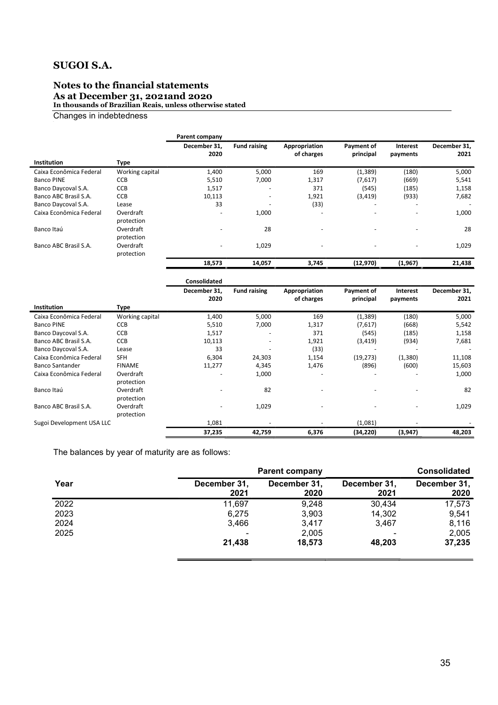# Notes to the financial statements

As at December 31, 2021and 2020

In thousands of Brazilian Reais, unless otherwise stated

Changes in indebtedness

|                         |                         | Parent company           |                          |                             |                          |                          |                      |
|-------------------------|-------------------------|--------------------------|--------------------------|-----------------------------|--------------------------|--------------------------|----------------------|
|                         |                         | December 31,<br>2020     | <b>Fund raising</b>      | Appropriation<br>of charges | Payment of<br>principal  | Interest<br>payments     | December 31,<br>2021 |
| <b>Institution</b>      | <b>Type</b>             |                          |                          |                             |                          |                          |                      |
| Caixa Econômica Federal | Working capital         | 1,400                    | 5,000                    | 169                         | (1, 389)                 | (180)                    | 5,000                |
| <b>Banco PINE</b>       | <b>CCB</b>              | 5,510                    | 7,000                    | 1,317                       | (7,617)                  | (669)                    | 5,541                |
| Banco Daycoval S.A.     | <b>CCB</b>              | 1,517                    | $\overline{\phantom{0}}$ | 371                         | (545)                    | (185)                    | 1,158                |
| Banco ABC Brasil S.A.   | <b>CCB</b>              | 10,113                   | $\overline{\phantom{a}}$ | 1,921                       | (3, 419)                 | (933)                    | 7,682                |
| Banco Daycoval S.A.     | Lease                   | 33                       | $\overline{\phantom{a}}$ | (33)                        | $\overline{\phantom{a}}$ | $\overline{\phantom{a}}$ | ٠                    |
| Caixa Econômica Federal | Overdraft<br>protection | $\overline{\phantom{a}}$ | 1,000                    | ٠                           | ٠                        | $\overline{\phantom{0}}$ | 1,000                |
| Banco Itaú              | Overdraft<br>protection | $\overline{\phantom{a}}$ | 28                       | ۰                           |                          | $\overline{\phantom{a}}$ | 28                   |
| Banco ABC Brasil S.A.   | Overdraft<br>protection | $\overline{\phantom{a}}$ | 1,029                    | $\overline{\phantom{a}}$    | $\overline{\phantom{0}}$ | -                        | 1,029                |
|                         |                         | 18,573                   | 14,057                   | 3,745                       | (12, 970)                | (1, 967)                 | 21,438               |
|                         |                         |                          |                          |                             |                          |                          |                      |

|                           |                 | <b>Consolidated</b> |                          |               |            |          |                          |
|---------------------------|-----------------|---------------------|--------------------------|---------------|------------|----------|--------------------------|
|                           |                 | December 31,        | <b>Fund raising</b>      | Appropriation | Payment of | Interest | December 31,             |
|                           |                 | 2020                |                          | of charges    | principal  | payments | 2021                     |
| <b>Institution</b>        | Type            |                     |                          |               |            |          |                          |
| Caixa Econômica Federal   | Working capital | 1,400               | 5,000                    | 169           | (1, 389)   | (180)    | 5,000                    |
| <b>Banco PINE</b>         | <b>CCB</b>      | 5,510               | 7,000                    | 1,317         | (7,617)    | (668)    | 5,542                    |
| Banco Daycoval S.A.       | <b>CCB</b>      | 1,517               | $\overline{\phantom{a}}$ | 371           | (545)      | (185)    | 1,158                    |
| Banco ABC Brasil S.A.     | <b>CCB</b>      | 10,113              | $\overline{\phantom{a}}$ | 1,921         | (3, 419)   | (934)    | 7,681                    |
| Banco Daycoval S.A.       | Lease           | 33                  | $\overline{\phantom{a}}$ | (33)          |            |          | $\overline{\phantom{a}}$ |
| Caixa Econômica Federal   | <b>SFH</b>      | 6,304               | 24,303                   | 1,154         | (19, 273)  | (1, 380) | 11,108                   |
| <b>Banco Santander</b>    | <b>FINAME</b>   | 11,277              | 4,345                    | 1,476         | (896)      | (600)    | 15,603                   |
| Caixa Econômica Federal   | Overdraft       |                     | 1,000                    |               |            |          | 1,000                    |
|                           | protection      |                     |                          |               |            |          |                          |
| Banco Itaú                | Overdraft       |                     | 82                       |               |            |          | 82                       |
|                           | protection      |                     |                          |               |            |          |                          |
| Banco ABC Brasil S.A.     | Overdraft       |                     | 1,029                    |               |            |          | 1,029                    |
|                           | protection      |                     |                          |               |            |          |                          |
| Sugoi Development USA LLC |                 | 1,081               |                          |               | (1,081)    |          |                          |
|                           |                 | 37,235              | 42,759                   | 6,376         | (34, 220)  | (3, 947) | 48,203                   |

The balances by year of maturity are as follows:

|      | <b>Parent company</b>    | <b>Consolidated</b>  |                      |                      |
|------|--------------------------|----------------------|----------------------|----------------------|
| Year | December 31,<br>2021     | December 31,<br>2020 | December 31,<br>2021 | December 31,<br>2020 |
| 2022 | 11,697                   | 9,248                | 30,434               | 17,573               |
| 2023 | 6,275                    | 3,903                | 14,302               | 9,541                |
| 2024 | 3,466                    | 3,417                | 3.467                | 8,116                |
| 2025 | $\overline{\phantom{0}}$ | 2,005                |                      | 2,005                |
|      | 21,438                   | 18,573               | 48.203               | 37,235               |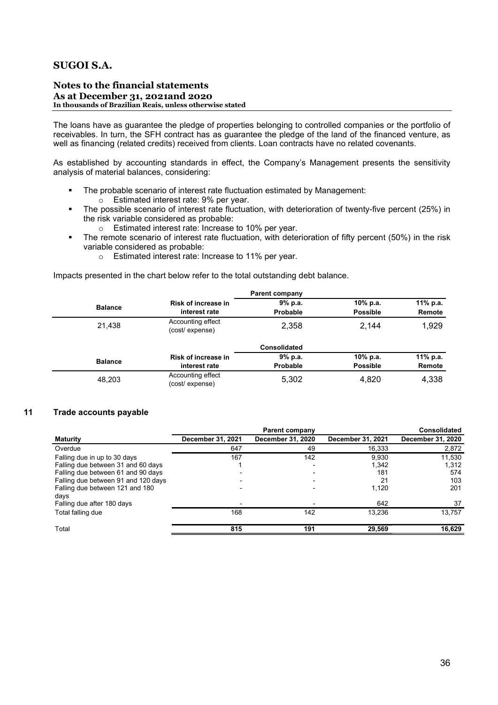### Notes to the financial statements As at December 31, 2021and 2020 In thousands of Brazilian Reais, unless otherwise stated

The loans have as guarantee the pledge of properties belonging to controlled companies or the portfolio of receivables. In turn, the SFH contract has as guarantee the pledge of the land of the financed venture, as well as financing (related credits) received from clients. Loan contracts have no related covenants.

As established by accounting standards in effect, the Company's Management presents the sensitivity analysis of material balances, considering:

- The probable scenario of interest rate fluctuation estimated by Management:
	- o Estimated interest rate: 9% per year.
- The possible scenario of interest rate fluctuation, with deterioration of twenty-five percent (25%) in the risk variable considered as probable:
	- o Estimated interest rate: Increase to 10% per year.
- The remote scenario of interest rate fluctuation, with deterioration of fifty percent (50%) in the risk variable considered as probable:
	- o Estimated interest rate: Increase to 11% per year.

Impacts presented in the chart below refer to the total outstanding debt balance.

|                |                                     | <b>Parent company</b> |                 |          |
|----------------|-------------------------------------|-----------------------|-----------------|----------|
|                | <b>Risk of increase in</b>          | 9% p.a.               | 10% p.a.        | 11% p.a. |
| <b>Balance</b> | interest rate                       | <b>Probable</b>       | <b>Possible</b> | Remote   |
| 21,438         | Accounting effect<br>(cost/expense) | 2,358                 | 2.144           | 1,929    |
|                |                                     | <b>Consolidated</b>   |                 |          |
| <b>Balance</b> | <b>Risk of increase in</b>          | 9% p.a.               | 10% p.a.        | 11% p.a. |
|                | interest rate                       | <b>Probable</b>       | <b>Possible</b> | Remote   |
| 48,203         | Accounting effect<br>(cost/expense) | 5,302                 | 4,820           | 4,338    |

### 11 Trade accounts payable

|                   | <b>Parent company</b>    |                   | <b>Consolidated</b> |
|-------------------|--------------------------|-------------------|---------------------|
| December 31, 2021 | December 31, 2020        | December 31, 2021 | December 31, 2020   |
| 647               | 49                       | 16,333            | 2,872               |
| 167               | 142                      | 9,930             | 11,530              |
|                   |                          | 1,342             | 1,312               |
|                   |                          | 181               | 574                 |
|                   | $\overline{\phantom{0}}$ | 21                | 103                 |
|                   |                          | 1.120             | 201                 |
|                   |                          |                   |                     |
|                   |                          |                   | 37                  |
| 168               | 142                      | 13.236            | 13.757              |
| 815               | 191                      | 29,569            | 16,629              |
|                   |                          |                   | 642                 |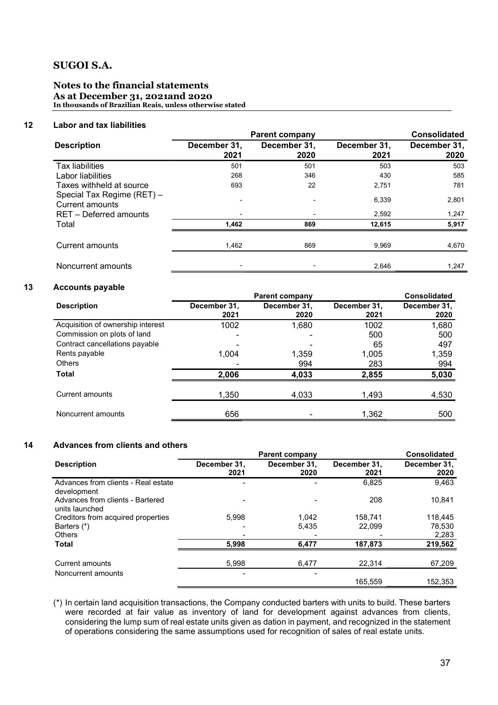### Notes to the financial statements As at December 31, 2021and 2020 In thousands of Brazilian Reais, unless otherwise stated

### 12 Labor and tax liabilities

|                                               | <b>Parent company</b> | <b>Consolidated</b>  |                      |                      |
|-----------------------------------------------|-----------------------|----------------------|----------------------|----------------------|
| <b>Description</b>                            | December 31,<br>2021  | December 31,<br>2020 | December 31,<br>2021 | December 31,<br>2020 |
| <b>Tax liabilities</b>                        | 501                   | 501                  | 503                  | 503                  |
| Labor liabilities                             | 268                   | 346                  | 430                  | 585                  |
| Taxes withheld at source                      | 693                   | 22                   | 2,751                | 781                  |
| Special Tax Regime (RET) -<br>Current amounts |                       |                      | 6,339                | 2,801                |
| RET - Deferred amounts                        |                       |                      | 2,592                | 1,247                |
| Total                                         | 1,462                 | 869                  | 12,615               | 5,917                |
| Current amounts                               | 1,462                 | 869                  | 9,969                | 4,670                |
| Noncurrent amounts                            |                       |                      | 2,646                | 1,247                |

### 13 Accounts payable

|                                   |                      | <b>Consolidated</b>  |                      |                      |
|-----------------------------------|----------------------|----------------------|----------------------|----------------------|
| <b>Description</b>                | December 31,<br>2021 | December 31,<br>2020 | December 31,<br>2021 | December 31,<br>2020 |
| Acquisition of ownership interest | 1002                 | 1,680                | 1002                 | 1,680                |
| Commission on plots of land       | ۰                    |                      | 500                  | 500                  |
| Contract cancellations payable    |                      |                      | 65                   | 497                  |
| Rents payable                     | 1,004                | 1,359                | 1,005                | 1,359                |
| <b>Others</b>                     |                      | 994                  | 283                  | 994                  |
| <b>Total</b>                      | 2,006                | 4,033                | 2,855                | 5,030                |
| Current amounts                   | 1,350                | 4,033                | 1,493                | 4,530                |
| Noncurrent amounts                | 656                  |                      | 1,362                | 500                  |

### 14 Advances from clients and others

|                                                    |                      | <b>Consolidated</b>  |                      |                      |
|----------------------------------------------------|----------------------|----------------------|----------------------|----------------------|
| <b>Description</b>                                 | December 31.<br>2021 | December 31.<br>2020 | December 31.<br>2021 | December 31.<br>2020 |
| Advances from clients - Real estate<br>development |                      |                      | 6,825                | 9,463                |
| Advances from clients - Bartered<br>units launched |                      |                      | 208                  | 10,841               |
| Creditors from acquired properties                 | 5.998                | 1.042                | 158.741              | 118.445              |
| Barters (*)                                        |                      | 5,435                | 22,099               | 78,530               |
| <b>Others</b>                                      |                      |                      |                      | 2,283                |
| <b>Total</b>                                       | 5,998                | 6,477                | 187,873              | 219,562              |
| Current amounts                                    | 5,998                | 6,477                | 22,314               | 67,209               |
| Noncurrent amounts                                 |                      |                      | 165.559              | 152,353              |

(\*) In certain land acquisition transactions, the Company conducted barters with units to build. These barters were recorded at fair value as inventory of land for development against advances from clients, considering the lump sum of real estate units given as dation in payment, and recognized in the statement of operations considering the same assumptions used for recognition of sales of real estate units.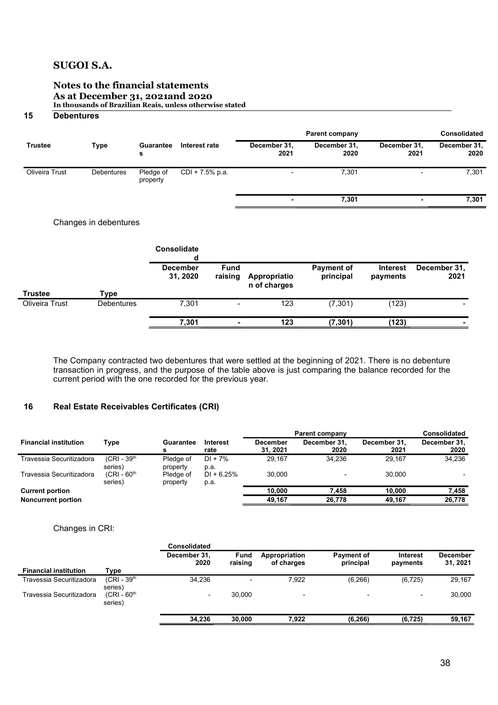### Notes to the financial statements As at December 31, 2021and 2020 In thousands of Brazilian Reais, unless otherwise stated

### 15 Debentures

|                |                   |                       |                   | <b>Parent company</b>    |                      |                          |                      |  |  | <b>Consolidated</b> |
|----------------|-------------------|-----------------------|-------------------|--------------------------|----------------------|--------------------------|----------------------|--|--|---------------------|
| <b>Trustee</b> | Type              | Guarantee<br>s        | Interest rate     | December 31,<br>2021     | December 31,<br>2020 | December 31,<br>2021     | December 31,<br>2020 |  |  |                     |
| Oliveira Trust | <b>Debentures</b> | Pledge of<br>property | $CDI + 7.5%$ p.a. | $\overline{\phantom{0}}$ | 7,301                | $\overline{\phantom{0}}$ | 7,301                |  |  |                     |
|                |                   |                       |                   | ٠                        | 7,301                | ٠                        | 7,301                |  |  |                     |
|                |                   |                       |                   |                          |                      |                          |                      |  |  |                     |

### Changes in debentures

|                |                   | <b>Consolidate</b>          |                        |                              |                                |                             |                      |
|----------------|-------------------|-----------------------------|------------------------|------------------------------|--------------------------------|-----------------------------|----------------------|
|                |                   | <b>December</b><br>31, 2020 | <b>Fund</b><br>raising | Appropriatio<br>n of charges | <b>Payment of</b><br>principal | <b>Interest</b><br>payments | December 31,<br>2021 |
| <b>Trustee</b> | Type              |                             |                        |                              |                                |                             |                      |
| Oliveira Trust | <b>Debentures</b> | 7.301                       | $\blacksquare$         | 123                          | (7,301)                        | (123)                       |                      |
|                |                   | 7,301                       |                        | 123                          | (7, 301)                       | (123)                       |                      |

The Company contracted two debentures that were settled at the beginning of 2021. There is no debenture transaction in progress, and the purpose of the table above is just comparing the balance recorded for the current period with the one recorded for the previous year.

### 16 Real Estate Receivables Certificates (CRI)

|                              |                           |                       |                      |                             | <b>Parent company</b> |                      | <b>Consolidated</b>  |
|------------------------------|---------------------------|-----------------------|----------------------|-----------------------------|-----------------------|----------------------|----------------------|
| <b>Financial institution</b> | Type                      | <b>Guarantee</b><br>s | Interest<br>rate     | <b>December</b><br>31, 2021 | December 31.<br>2020  | December 31.<br>2021 | December 31,<br>2020 |
| Travessia Securitizadora     | $(CRI - 39th)$<br>series) | Pledge of<br>property | $DI + 7\%$<br>p.a.   | 29.167                      | 34.236                | 29.167               | 34,236               |
| Travessia Securitizadora     | $(CRI - 60th)$<br>series) | Pledge of<br>property | $DI + 6.25%$<br>p.a. | 30.000                      | -                     | 30.000               |                      |
| <b>Current portion</b>       |                           |                       |                      | 10.000                      | 7.458                 | 10,000               | 7,458                |
| <b>Noncurrent portion</b>    |                           |                       |                      | 49.167                      | 26,778                | 49.167               | 26,778               |

Changes in CRI:

|                           | Consolidated         |                          |                             |                                |                          |                             |
|---------------------------|----------------------|--------------------------|-----------------------------|--------------------------------|--------------------------|-----------------------------|
|                           | December 31,<br>2020 | Fund<br>raising          | Appropriation<br>of charges | <b>Payment of</b><br>principal | Interest<br>payments     | <b>December</b><br>31, 2021 |
| Type                      |                      |                          |                             |                                |                          |                             |
| $(CRI - 39th)$<br>series) | 34.236               | $\overline{\phantom{a}}$ | 7,922                       | (6, 266)                       | (6, 725)                 | 29,167                      |
| $(CRI - 60th)$<br>series) | -                    | 30.000                   | $\overline{\phantom{0}}$    | $\overline{\phantom{0}}$       | $\overline{\phantom{a}}$ | 30.000                      |
|                           | 34,236               | 30,000                   | 7.922                       | (6, 266)                       | (6, 725)                 | 59,167                      |
|                           |                      |                          |                             |                                |                          |                             |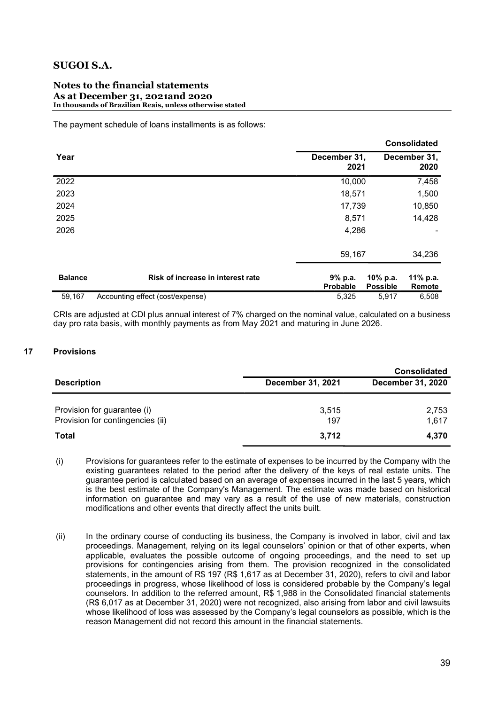### Notes to the financial statements As at December 31, 2021and 2020 In thousands of Brazilian Reais, unless otherwise stated

The payment schedule of loans installments is as follows:

|                |                                   |                      |                             | <b>Consolidated</b>  |
|----------------|-----------------------------------|----------------------|-----------------------------|----------------------|
| Year           |                                   | December 31,<br>2021 |                             | December 31,<br>2020 |
| 2022           |                                   | 10,000               |                             | 7,458                |
| 2023           |                                   | 18,571               |                             | 1,500                |
| 2024           |                                   | 17,739               |                             | 10,850               |
| 2025           |                                   | 8,571                |                             | 14,428               |
| 2026           |                                   | 4,286                |                             |                      |
|                |                                   | 59,167               |                             | 34,236               |
| <b>Balance</b> | Risk of increase in interest rate | 9% p.a.<br>Probable  | 10% p.a.<br><b>Possible</b> | 11% p.a.<br>Remote   |
| 59,167         | Accounting effect (cost/expense)  | 5,325                | 5,917                       | 6,508                |

CRIs are adjusted at CDI plus annual interest of 7% charged on the nominal value, calculated on a business day pro rata basis, with monthly payments as from May 2021 and maturing in June 2026.

### 17 Provisions

|                                  |                          | <b>Consolidated</b>      |
|----------------------------------|--------------------------|--------------------------|
| <b>Description</b>               | <b>December 31, 2021</b> | <b>December 31, 2020</b> |
|                                  |                          |                          |
| Provision for guarantee (i)      | 3,515                    | 2,753                    |
| Provision for contingencies (ii) | 197                      | 1,617                    |
| <b>Total</b>                     | 3,712                    | 4,370                    |

(i) Provisions for guarantees refer to the estimate of expenses to be incurred by the Company with the existing guarantees related to the period after the delivery of the keys of real estate units. The guarantee period is calculated based on an average of expenses incurred in the last 5 years, which is the best estimate of the Company's Management. The estimate was made based on historical information on guarantee and may vary as a result of the use of new materials, construction modifications and other events that directly affect the units built.

 $(i)$  In the ordinary course of conducting its business, the Company is involved in labor, civil and tax proceedings. Management, relying on its legal counselors' opinion or that of other experts, when applicable, evaluates the possible outcome of ongoing proceedings, and the need to set up provisions for contingencies arising from them. The provision recognized in the consolidated statements, in the amount of R\$ 197 (R\$ 1,617 as at December 31, 2020), refers to civil and labor proceedings in progress, whose likelihood of loss is considered probable by the Company's legal counselors. In addition to the referred amount, R\$ 1,988 in the Consolidated financial statements (R\$ 6,017 as at December 31, 2020) were not recognized, also arising from labor and civil lawsuits whose likelihood of loss was assessed by the Company's legal counselors as possible, which is the reason Management did not record this amount in the financial statements.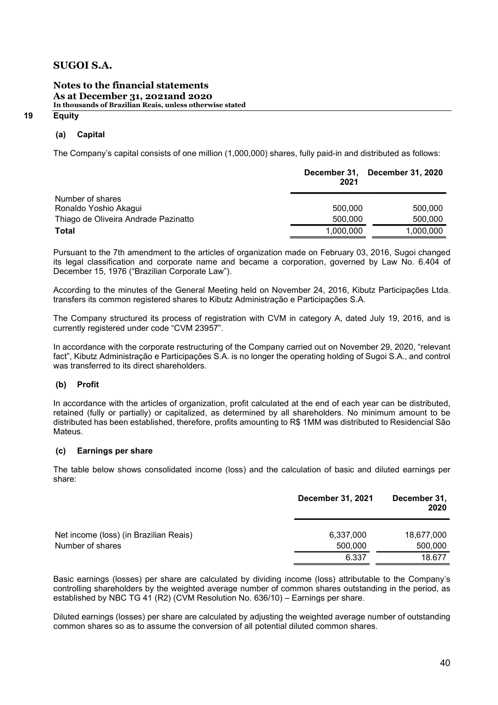### Notes to the financial statements As at December 31, 2021and 2020 In thousands of Brazilian Reais, unless otherwise stated

### (a) Capital

The Company's capital consists of one million (1,000,000) shares, fully paid-in and distributed as follows:

|                                      | 2021      | December 31, December 31, 2020 |
|--------------------------------------|-----------|--------------------------------|
| Number of shares                     |           |                                |
| Ronaldo Yoshio Akagui                | 500,000   | 500,000                        |
| Thiago de Oliveira Andrade Pazinatto | 500,000   | 500,000                        |
| <b>Total</b>                         | 1,000,000 | 1,000,000                      |

Pursuant to the 7th amendment to the articles of organization made on February 03, 2016, Sugoi changed its legal classification and corporate name and became a corporation, governed by Law No. 6.404 of December 15, 1976 ("Brazilian Corporate Law").

According to the minutes of the General Meeting held on November 24, 2016, Kibutz Participações Ltda. transfers its common registered shares to Kibutz Administração e Participações S.A.

The Company structured its process of registration with CVM in category A, dated July 19, 2016, and is currently registered under code "CVM 23957".

In accordance with the corporate restructuring of the Company carried out on November 29, 2020, "relevant fact", Kibutz Administração e Participações S.A. is no longer the operating holding of Sugoi S.A., and control was transferred to its direct shareholders.

### (b) Profit

In accordance with the articles of organization, profit calculated at the end of each year can be distributed, retained (fully or partially) or capitalized, as determined by all shareholders. No minimum amount to be distributed has been established, therefore, profits amounting to R\$ 1MM was distributed to Residencial São Mateus.

### (c) Earnings per share

The table below shows consolidated income (loss) and the calculation of basic and diluted earnings per share:

|                                                            | <b>December 31, 2021</b> | December 31,<br>2020  |
|------------------------------------------------------------|--------------------------|-----------------------|
| Net income (loss) (in Brazilian Reais)<br>Number of shares | 6,337,000<br>500,000     | 18,677,000<br>500,000 |
|                                                            | 6.337                    | 18.677                |

Basic earnings (losses) per share are calculated by dividing income (loss) attributable to the Company's controlling shareholders by the weighted average number of common shares outstanding in the period, as established by NBC TG 41 (R2) (CVM Resolution No. 636/10) – Earnings per share.

Diluted earnings (losses) per share are calculated by adjusting the weighted average number of outstanding common shares so as to assume the conversion of all potential diluted common shares.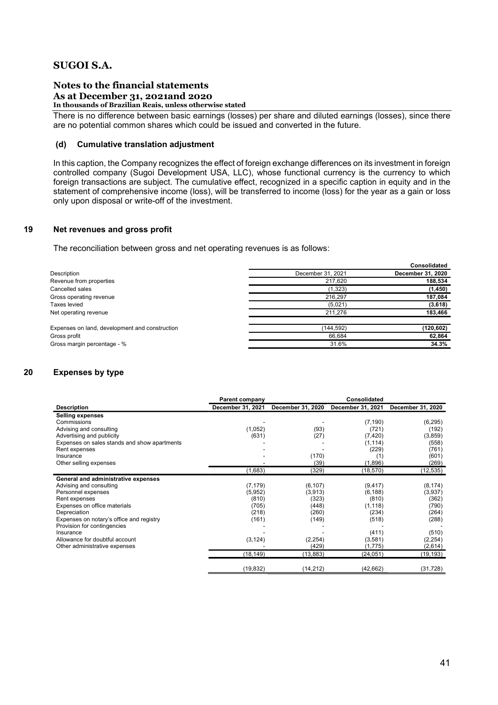#### Notes to the financial statements As at December 31, 2021and 2020 In thousands of Brazilian Reais, unless otherwise stated

There is no difference between basic earnings (losses) per share and diluted earnings (losses), since there are no potential common shares which could be issued and converted in the future.

### (d) Cumulative translation adjustment

In this caption, the Company recognizes the effect of foreign exchange differences on its investment in foreign controlled company (Sugoi Development USA, LLC), whose functional currency is the currency to which foreign transactions are subject. The cumulative effect, recognized in a specific caption in equity and in the statement of comprehensive income (loss), will be transferred to income (loss) for the year as a gain or loss only upon disposal or write-off of the investment.

### 19 Net revenues and gross profit

The reconciliation between gross and net operating revenues is as follows:

|                                                |                   | <b>Consolidated</b> |
|------------------------------------------------|-------------------|---------------------|
| Description                                    | December 31, 2021 | December 31, 2020   |
| Revenue from properties                        | 217,620           | 188,534             |
| Cancelled sales                                | (1,323)           | (1, 450)            |
| Gross operating revenue                        | 216,297           | 187,084             |
| <b>Taxes levied</b>                            | (5,021)           | (3,618)             |
| Net operating revenue                          | 211.276           | 183,466             |
| Expenses on land, development and construction | (144, 592)        | (120, 602)          |
| Gross profit                                   | 66,684            | 62,864              |
| Gross margin percentage - %                    | 31.6%             | 34.3%               |

### 20 Expenses by type

|                                              | Parent company    |                   | <b>Consolidated</b> |                   |
|----------------------------------------------|-------------------|-------------------|---------------------|-------------------|
| <b>Description</b>                           | December 31, 2021 | December 31, 2020 | December 31, 2021   | December 31, 2020 |
| <b>Selling expenses</b>                      |                   |                   |                     |                   |
| Commissions                                  |                   |                   | (7, 190)            | (6, 295)          |
| Advising and consulting                      | (1,052)           | (93)              | (721)               | (192)             |
| Advertising and publicity                    | (631)             | (27)              | (7, 420)            | (3,859)           |
| Expenses on sales stands and show apartments |                   |                   | (1, 114)            | (558)             |
| Rent expenses                                |                   |                   | (229)               | (761)             |
| Insurance                                    |                   | (170)             | (1)                 | (601)             |
| Other selling expenses                       |                   | (39)              | (1,896)             | (269)             |
|                                              | (1,683)           | (329)             | (18, 570)           | (12, 535)         |
| General and administrative expenses          |                   |                   |                     |                   |
| Advising and consulting                      | (7, 179)          | (6, 107)          | (9, 417)            | (8, 174)          |
| Personnel expenses                           | (5,952)           | (3,913)           | (6, 188)            | (3,937)           |
| Rent expenses                                | (810)             | (323)             | (810)               | (362)             |
| Expenses on office materials                 | (705)             | (448)             | (1, 118)            | (790)             |
| Depreciation                                 | (218)             | (260)             | (234)               | (264)             |
| Expenses on notary's office and registry     | (161)             | (149)             | (518)               | (288)             |
| Provision for contingencies                  |                   |                   |                     |                   |
| Insurance                                    |                   |                   | (411)               | (510)             |
| Allowance for doubtful account               | (3, 124)          | (2, 254)          | (3,581)             | (2, 254)          |
| Other administrative expenses                |                   | (429)             | (1,775)             | (2,614)           |
|                                              | (18,149)          | (13, 883)         | (24, 051)           | (19, 193)         |
|                                              | (19, 832)         | (14, 212)         | (42, 662)           | (31,728)          |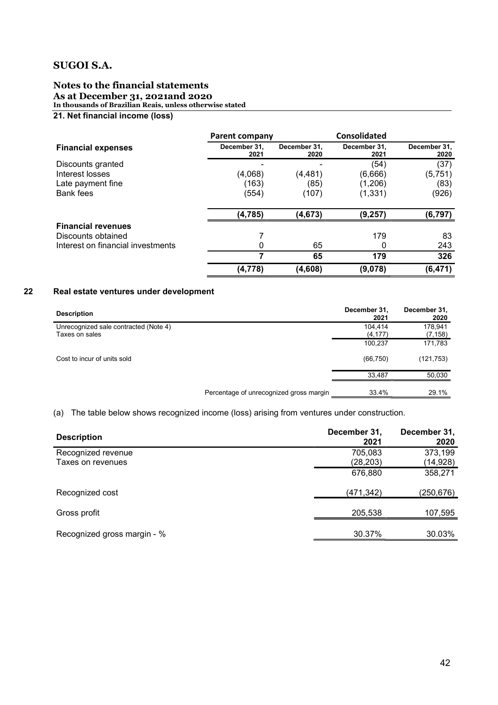### Notes to the financial statements As at December 31, 2021and 2020 In thousands of Brazilian Reais, unless otherwise stated

### 21. Net financial income (loss)

|                                   | <b>Parent company</b> |                      | Consolidated         |                      |
|-----------------------------------|-----------------------|----------------------|----------------------|----------------------|
| <b>Financial expenses</b>         | December 31.<br>2021  | December 31.<br>2020 | December 31.<br>2021 | December 31,<br>2020 |
| Discounts granted                 |                       |                      | (54)                 | (37)                 |
| Interest losses                   | (4,068)               | (4, 481)             | (6,666)              | (5, 751)             |
| Late payment fine                 | (163)                 | (85)                 | (1,206)              | (83)                 |
| Bank fees                         | (554)                 | (107)                | (1, 331)             | (926)                |
|                                   | (4, 785)              | (4, 673)             | (9, 257)             | (6,797)              |
| <b>Financial revenues</b>         |                       |                      |                      |                      |
| Discounts obtained                |                       |                      | 179                  | 83                   |
| Interest on financial investments | 0                     | 65                   |                      | 243                  |
|                                   | 7                     | 65                   | 179                  | 326                  |
|                                   | (4,778)               | (4,608)              | (9,078)              | (6, 471)             |

### 22 Real estate ventures under development

| <b>Description</b>                    |                                         | December 31,<br>2021 | December 31,<br>2020 |
|---------------------------------------|-----------------------------------------|----------------------|----------------------|
| Unrecognized sale contracted (Note 4) |                                         | 104.414              | 178,941              |
| Taxes on sales                        |                                         | (4, 177)             | (7, 158)             |
|                                       |                                         | 100,237              | 171,783              |
| Cost to incur of units sold           |                                         | (66, 750)            | (121, 753)           |
|                                       |                                         | 33.487               | 50,030               |
|                                       | Percentage of unrecognized gross margin | 33.4%                | 29.1%                |

### (a) The table below shows recognized income (loss) arising from ventures under construction.

| <b>Description</b>          | December 31,<br>2021 | December 31,<br>2020 |
|-----------------------------|----------------------|----------------------|
| Recognized revenue          | 705,083              | 373,199              |
| Taxes on revenues           | (28, 203)            | (14,928)             |
|                             | 676,880              | 358,271              |
| Recognized cost             | (471, 342)           | (250,676)            |
| Gross profit                | 205,538              | 107,595              |
| Recognized gross margin - % | 30.37%               | 30.03%               |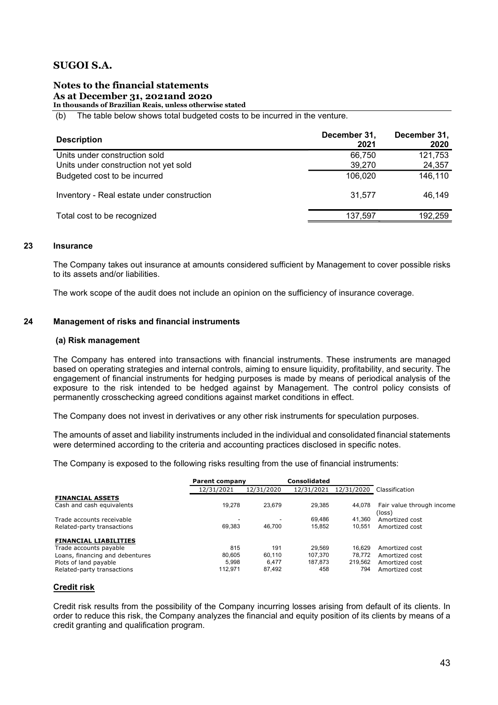### Notes to the financial statements As at December 31, 2021and 2020

In thousands of Brazilian Reais, unless otherwise stated

(b) The table below shows total budgeted costs to be incurred in the venture.

| <b>Description</b>                                                     | December 31,<br>2021 | December 31,<br>2020 |
|------------------------------------------------------------------------|----------------------|----------------------|
| Units under construction sold<br>Units under construction not yet sold | 66,750<br>39,270     | 121,753<br>24,357    |
| Budgeted cost to be incurred                                           | 106,020              | 146,110              |
| Inventory - Real estate under construction                             | 31,577               | 46,149               |
| Total cost to be recognized                                            | 137,597              | 192,259              |

### 23 Insurance

The Company takes out insurance at amounts considered sufficient by Management to cover possible risks to its assets and/or liabilities.

The work scope of the audit does not include an opinion on the sufficiency of insurance coverage.

### 24 Management of risks and financial instruments

### (a) Risk management

The Company has entered into transactions with financial instruments. These instruments are managed based on operating strategies and internal controls, aiming to ensure liquidity, profitability, and security. The engagement of financial instruments for hedging purposes is made by means of periodical analysis of the exposure to the risk intended to be hedged against by Management. The control policy consists of permanently crosschecking agreed conditions against market conditions in effect.

The Company does not invest in derivatives or any other risk instruments for speculation purposes.

The amounts of asset and liability instruments included in the individual and consolidated financial statements were determined according to the criteria and accounting practices disclosed in specific notes.

The Company is exposed to the following risks resulting from the use of financial instruments:

|                                 | Parent company           |            | <b>Consolidated</b> |            |                           |
|---------------------------------|--------------------------|------------|---------------------|------------|---------------------------|
|                                 | 12/31/2021               | 12/31/2020 | 12/31/2021          | 12/31/2020 | Classification            |
| <b>FINANCIAL ASSETS</b>         |                          |            |                     |            |                           |
| Cash and cash equivalents       | 19.278                   | 23.679     | 29.385              | 44.078     | Fair value through income |
|                                 |                          |            |                     |            | (loss)                    |
| Trade accounts receivable       | $\overline{\phantom{a}}$ |            | 69.486              | 41.360     | Amortized cost            |
| Related-party transactions      | 69.383                   | 46.700     | 15.852              | 10.551     | Amortized cost            |
| <b>FINANCIAL LIABILITIES</b>    |                          |            |                     |            |                           |
| Trade accounts payable          | 815                      | 191        | 29.569              | 16.629     | Amortized cost            |
| Loans, financing and debentures | 80.605                   | 60.110     | 107.370             | 78.772     | Amortized cost            |
| Plots of land payable           | 5.998                    | 6.477      | 187.873             | 219.562    | Amortized cost            |
| Related-party transactions      | 112.971                  | 87,492     | 458                 | 794        | Amortized cost            |

### Credit risk

Credit risk results from the possibility of the Company incurring losses arising from default of its clients. In order to reduce this risk, the Company analyzes the financial and equity position of its clients by means of a credit granting and qualification program.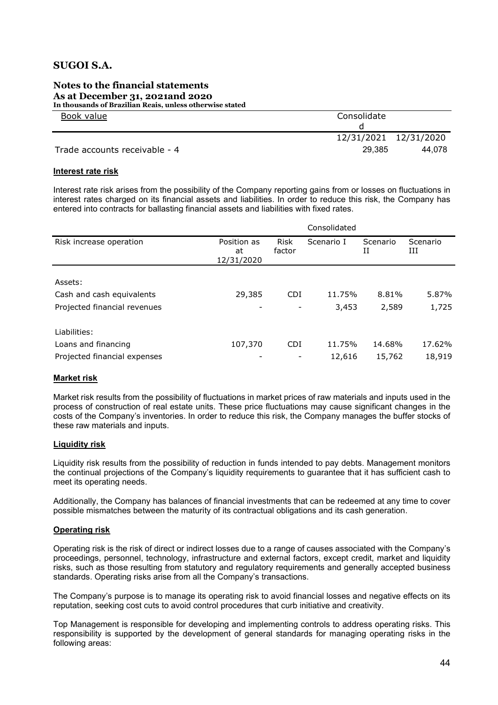#### Notes to the financial statements As at December 31, 2021and 2020 In thousands of Brazilian Reais, unless otherwise stated

 Book value Consolidate d 12/31/2021 12/31/2020 Trade accounts receivable - 4 29,385 44,078

### Interest rate risk

Interest rate risk arises from the possibility of the Company reporting gains from or losses on fluctuations in interest rates charged on its financial assets and liabilities. In order to reduce this risk, the Company has entered into contracts for ballasting financial assets and liabilities with fixed rates.

|                              | Consolidated                    |                       |            |               |               |
|------------------------------|---------------------------------|-----------------------|------------|---------------|---------------|
| Risk increase operation      | Position as<br>at<br>12/31/2020 | <b>Risk</b><br>factor | Scenario I | Scenario<br>Н | Scenario<br>Ш |
|                              |                                 |                       |            |               |               |
| Assets:                      |                                 |                       |            |               |               |
| Cash and cash equivalents    | 29,385                          | <b>CDI</b>            | 11.75%     | 8.81%         | 5.87%         |
| Projected financial revenues |                                 |                       | 3,453      | 2,589         | 1,725         |
| Liabilities:                 |                                 |                       |            |               |               |
| Loans and financing          | 107,370                         | <b>CDI</b>            | 11.75%     | 14.68%        | 17.62%        |
| Projected financial expenses |                                 |                       | 12,616     | 15,762        | 18,919        |

### Market risk

Market risk results from the possibility of fluctuations in market prices of raw materials and inputs used in the process of construction of real estate units. These price fluctuations may cause significant changes in the costs of the Company's inventories. In order to reduce this risk, the Company manages the buffer stocks of these raw materials and inputs.

### Liquidity risk

Liquidity risk results from the possibility of reduction in funds intended to pay debts. Management monitors the continual projections of the Company's liquidity requirements to guarantee that it has sufficient cash to meet its operating needs.

Additionally, the Company has balances of financial investments that can be redeemed at any time to cover possible mismatches between the maturity of its contractual obligations and its cash generation.

### Operating risk

Operating risk is the risk of direct or indirect losses due to a range of causes associated with the Company's proceedings, personnel, technology, infrastructure and external factors, except credit, market and liquidity risks, such as those resulting from statutory and regulatory requirements and generally accepted business standards. Operating risks arise from all the Company's transactions.

The Company's purpose is to manage its operating risk to avoid financial losses and negative effects on its reputation, seeking cost cuts to avoid control procedures that curb initiative and creativity.

Top Management is responsible for developing and implementing controls to address operating risks. This responsibility is supported by the development of general standards for managing operating risks in the following areas: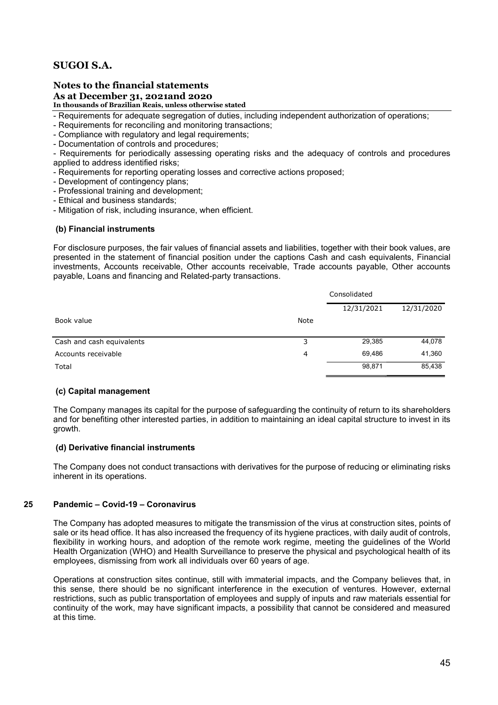### Notes to the financial statements

### As at December 31, 2021and 2020

In thousands of Brazilian Reais, unless otherwise stated

- Requirements for adequate segregation of duties, including independent authorization of operations;
- Requirements for reconciling and monitoring transactions;
- Compliance with regulatory and legal requirements;
- Documentation of controls and procedures;

- Requirements for periodically assessing operating risks and the adequacy of controls and procedures applied to address identified risks;

- Requirements for reporting operating losses and corrective actions proposed;
- Development of contingency plans;
- Professional training and development;
- Ethical and business standards;
- Mitigation of risk, including insurance, when efficient.

### (b) Financial instruments

For disclosure purposes, the fair values of financial assets and liabilities, together with their book values, are presented in the statement of financial position under the captions Cash and cash equivalents, Financial investments, Accounts receivable, Other accounts receivable, Trade accounts payable, Other accounts payable, Loans and financing and Related-party transactions.

|                           |             | Consolidated |            |  |
|---------------------------|-------------|--------------|------------|--|
|                           |             | 12/31/2021   | 12/31/2020 |  |
| Book value                | <b>Note</b> |              |            |  |
| Cash and cash equivalents | 3           | 29,385       | 44,078     |  |
| Accounts receivable       | 4           | 69.486       | 41,360     |  |
| Total                     |             | 98,871       | 85,438     |  |

### (c) Capital management

The Company manages its capital for the purpose of safeguarding the continuity of return to its shareholders and for benefiting other interested parties, in addition to maintaining an ideal capital structure to invest in its growth.

### (d) Derivative financial instruments

The Company does not conduct transactions with derivatives for the purpose of reducing or eliminating risks inherent in its operations.

### 25 Pandemic – Covid-19 – Coronavirus

The Company has adopted measures to mitigate the transmission of the virus at construction sites, points of sale or its head office. It has also increased the frequency of its hygiene practices, with daily audit of controls, flexibility in working hours, and adoption of the remote work regime, meeting the guidelines of the World Health Organization (WHO) and Health Surveillance to preserve the physical and psychological health of its employees, dismissing from work all individuals over 60 years of age.

Operations at construction sites continue, still with immaterial impacts, and the Company believes that, in this sense, there should be no significant interference in the execution of ventures. However, external restrictions, such as public transportation of employees and supply of inputs and raw materials essential for continuity of the work, may have significant impacts, a possibility that cannot be considered and measured at this time.